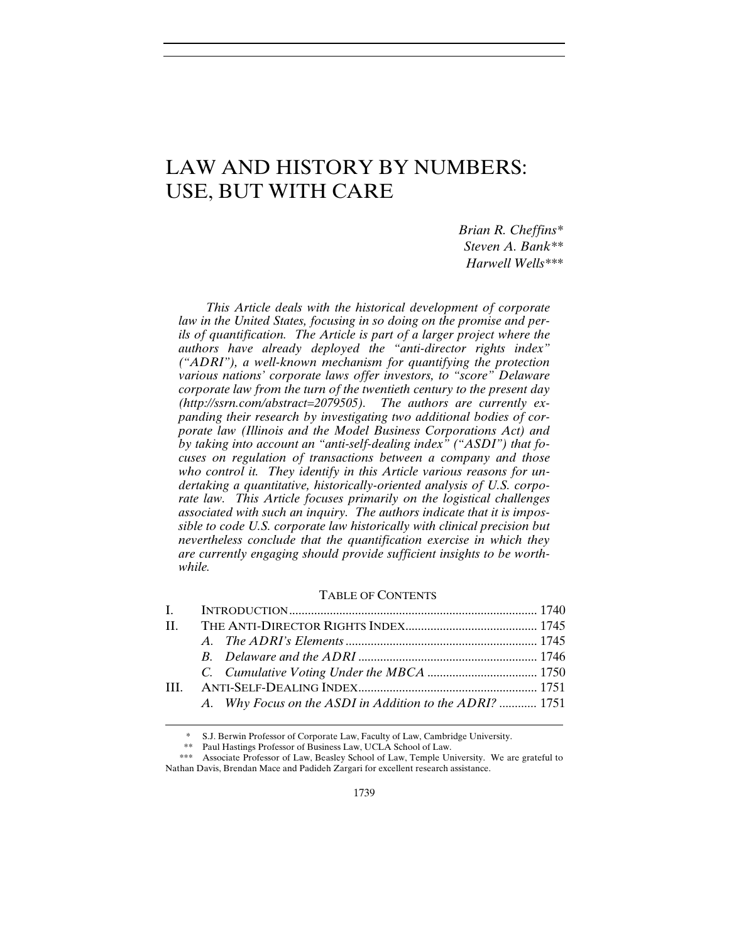# LAW AND HISTORY BY NUMBERS: USE, BUT WITH CARE

*Brian R. Cheffins\* Steven A. Bank\*\* Harwell Wells\*\*\**

*This Article deals with the historical development of corporate law in the United States, focusing in so doing on the promise and perils of quantification. The Article is part of a larger project where the authors have already deployed the "anti-director rights index" ("ADRI"), a well-known mechanism for quantifying the protection various nations' corporate laws offer investors, to "score" Delaware corporate law from the turn of the twentieth century to the present day (http://ssrn.com/abstract=2079505). The authors are currently expanding their research by investigating two additional bodies of corporate law (Illinois and the Model Business Corporations Act) and by taking into account an "anti-self-dealing index" ("ASDI") that focuses on regulation of transactions between a company and those who control it. They identify in this Article various reasons for undertaking a quantitative, historically-oriented analysis of U.S. corporate law. This Article focuses primarily on the logistical challenges associated with such an inquiry. The authors indicate that it is impossible to code U.S. corporate law historically with clinical precision but nevertheless conclude that the quantification exercise in which they are currently engaging should provide sufficient insights to be worthwhile.*

# TABLE OF CONTENTS

| A. Why Focus on the ASDI in Addition to the ADRI?  1751 |  |
|---------------------------------------------------------|--|

S.J. Berwin Professor of Corporate Law, Faculty of Law, Cambridge University.

-

 <sup>\*\*</sup> Paul Hastings Professor of Business Law, UCLA School of Law.

<sup>\*\*\*</sup> Associate Professor of Law, Beasley School of Law, Temple University. We are grateful to Nathan Davis, Brendan Mace and Padideh Zargari for excellent research assistance.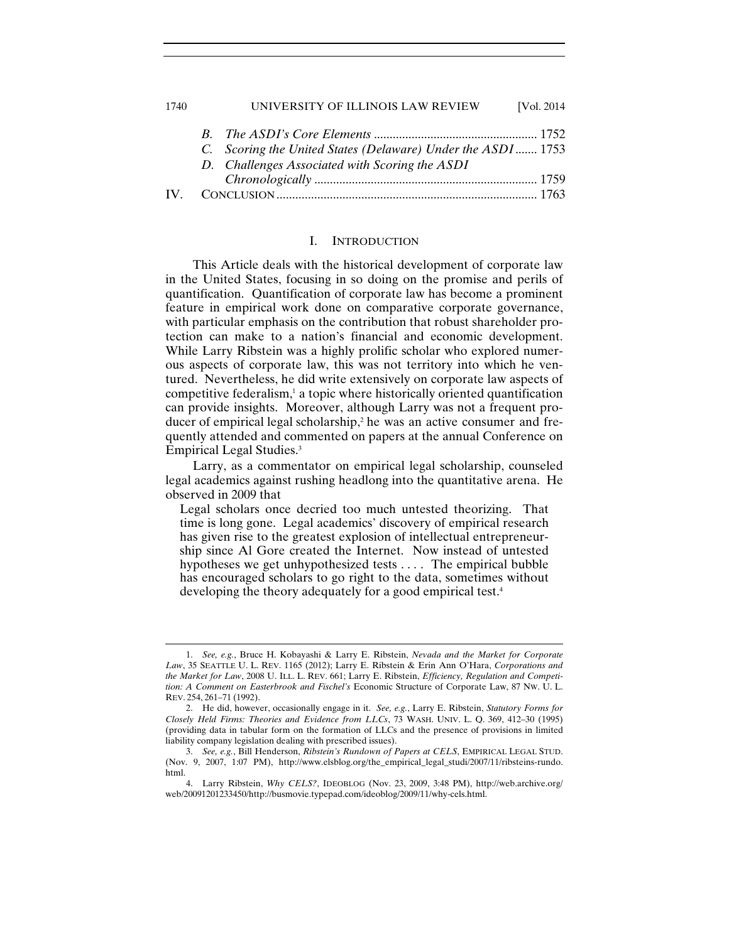| 1740 | UNIVERSITY OF ILLINOIS LAW REVIEW                            | [Vol. 2014] |
|------|--------------------------------------------------------------|-------------|
|      |                                                              |             |
|      | C. Scoring the United States (Delaware) Under the ASDI  1753 |             |
|      | D. Challenges Associated with Scoring the ASDI               |             |
|      |                                                              |             |
|      |                                                              |             |

## I. INTRODUCTION

This Article deals with the historical development of corporate law in the United States, focusing in so doing on the promise and perils of quantification. Quantification of corporate law has become a prominent feature in empirical work done on comparative corporate governance, with particular emphasis on the contribution that robust shareholder protection can make to a nation's financial and economic development. While Larry Ribstein was a highly prolific scholar who explored numerous aspects of corporate law, this was not territory into which he ventured. Nevertheless, he did write extensively on corporate law aspects of competitive federalism,<sup>1</sup> a topic where historically oriented quantification can provide insights. Moreover, although Larry was not a frequent producer of empirical legal scholarship,<sup>2</sup> he was an active consumer and frequently attended and commented on papers at the annual Conference on Empirical Legal Studies.3

Larry, as a commentator on empirical legal scholarship, counseled legal academics against rushing headlong into the quantitative arena. He observed in 2009 that

Legal scholars once decried too much untested theorizing. That time is long gone. Legal academics' discovery of empirical research has given rise to the greatest explosion of intellectual entrepreneurship since Al Gore created the Internet. Now instead of untested hypotheses we get unhypothesized tests . . . . The empirical bubble has encouraged scholars to go right to the data, sometimes without developing the theory adequately for a good empirical test.<sup>4</sup>

<sup>1.</sup> *See, e.g.*, Bruce H. Kobayashi & Larry E. Ribstein, *Nevada and the Market for Corporate Law*, 35 SEATTLE U. L. REV. 1165 (2012); Larry E. Ribstein & Erin Ann O'Hara, *Corporations and the Market for Law*, 2008 U. ILL. L. REV. 661; Larry E. Ribstein, *Efficiency, Regulation and Competition: A Comment on Easterbrook and Fischel's* Economic Structure of Corporate Law, 87 NW. U. L. REV. 254, 261–71 (1992).

 <sup>2.</sup> He did, however, occasionally engage in it. *See, e.g.*, Larry E. Ribstein, *Statutory Forms for Closely Held Firms: Theories and Evidence from LLCs*, 73 WASH. UNIV. L. Q. 369, 412–30 (1995) (providing data in tabular form on the formation of LLCs and the presence of provisions in limited liability company legislation dealing with prescribed issues).

 <sup>3.</sup> *See, e.g.*, Bill Henderson, *Ribstein's Rundown of Papers at CELS*, EMPIRICAL LEGAL STUD. (Nov. 9, 2007, 1:07 PM), http://www.elsblog.org/the\_empirical\_legal\_studi/2007/11/ribsteins-rundo. html.

 <sup>4.</sup> Larry Ribstein, *Why CELS?*, IDEOBLOG (Nov. 23, 2009, 3:48 PM), http://web.archive.org/ web/20091201233450/http://busmovie.typepad.com/ideoblog/2009/11/why-cels.html.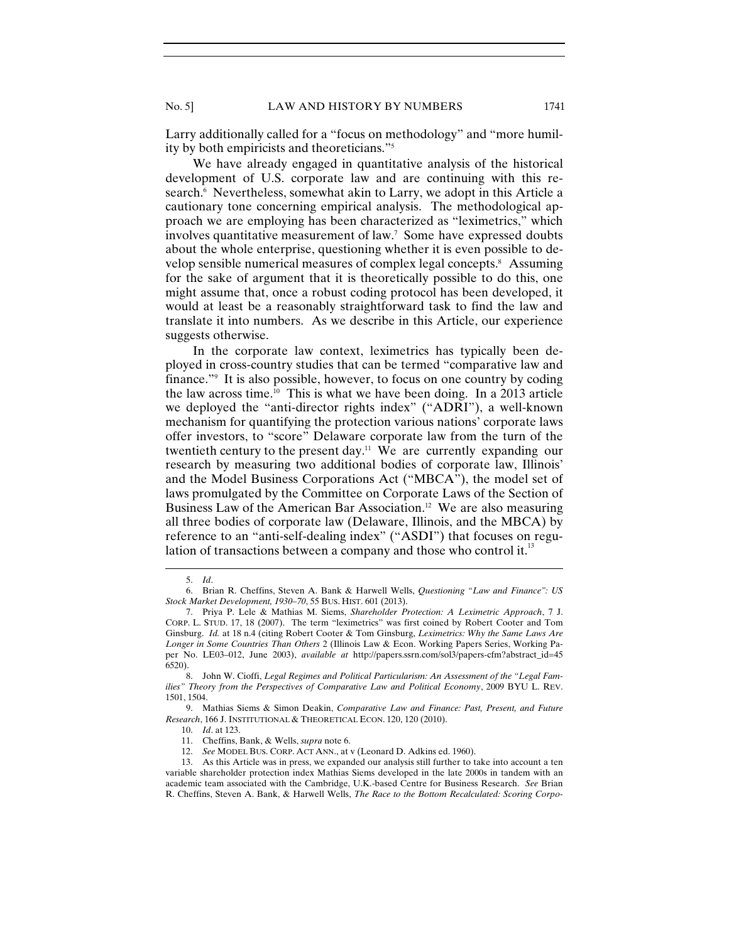Larry additionally called for a "focus on methodology" and "more humility by both empiricists and theoreticians."5

We have already engaged in quantitative analysis of the historical development of U.S. corporate law and are continuing with this research.<sup>6</sup> Nevertheless, somewhat akin to Larry, we adopt in this Article a cautionary tone concerning empirical analysis. The methodological approach we are employing has been characterized as "leximetrics," which involves quantitative measurement of law.7 Some have expressed doubts about the whole enterprise, questioning whether it is even possible to develop sensible numerical measures of complex legal concepts.<sup>8</sup> Assuming for the sake of argument that it is theoretically possible to do this, one might assume that, once a robust coding protocol has been developed, it would at least be a reasonably straightforward task to find the law and translate it into numbers. As we describe in this Article, our experience suggests otherwise.

In the corporate law context, leximetrics has typically been deployed in cross-country studies that can be termed "comparative law and finance."9 It is also possible, however, to focus on one country by coding the law across time.<sup>10</sup> This is what we have been doing. In a 2013 article we deployed the "anti-director rights index" ("ADRI"), a well-known mechanism for quantifying the protection various nations' corporate laws offer investors, to "score" Delaware corporate law from the turn of the twentieth century to the present day.<sup>11</sup> We are currently expanding our research by measuring two additional bodies of corporate law, Illinois' and the Model Business Corporations Act ("MBCA"), the model set of laws promulgated by the Committee on Corporate Laws of the Section of Business Law of the American Bar Association.<sup>12</sup> We are also measuring all three bodies of corporate law (Delaware, Illinois, and the MBCA) by reference to an "anti-self-dealing index" ("ASDI") that focuses on regulation of transactions between a company and those who control it.<sup>13</sup>

 $\overline{a}$ 

 9. Mathias Siems & Simon Deakin, *Comparative Law and Finance: Past, Present, and Future Research*, 166 J. INSTITUTIONAL & THEORETICAL ECON. 120, 120 (2010).

<sup>5.</sup> *Id*.

 <sup>6.</sup> Brian R. Cheffins, Steven A. Bank & Harwell Wells, *Questioning "Law and Finance": US Stock Market Development, 1930–70*, 55 BUS. HIST. 601 (2013).

 <sup>7.</sup> Priya P. Lele & Mathias M. Siems, *Shareholder Protection: A Leximetric Approach*, 7 J. CORP. L. STUD. 17, 18 (2007). The term "leximetrics" was first coined by Robert Cooter and Tom Ginsburg. *Id.* at 18 n.4 (citing Robert Cooter & Tom Ginsburg, *Leximetrics: Why the Same Laws Are Longer in Some Countries Than Others* 2 (Illinois Law & Econ. Working Papers Series, Working Paper No. LE03–012, June 2003), *available at* http://papers.ssrn.com/sol3/papers-cfm?abstract\_id=45 6520).

 <sup>8.</sup> John W. Cioffi, *Legal Regimes and Political Particularism: An Assessment of the "Legal Families" Theory from the Perspectives of Comparative Law and Political Economy*, 2009 BYU L. REV. 1501, 1504.

 <sup>10.</sup> *Id*. at 123.

 <sup>11.</sup> Cheffins, Bank, & Wells, *supra* note 6.

 <sup>12.</sup> *See* MODEL BUS. CORP. ACT ANN., at v (Leonard D. Adkins ed. 1960).

 <sup>13.</sup> As this Article was in press, we expanded our analysis still further to take into account a ten variable shareholder protection index Mathias Siems developed in the late 2000s in tandem with an academic team associated with the Cambridge, U.K.-based Centre for Business Research. *See* Brian R. Cheffins, Steven A. Bank, & Harwell Wells, *The Race to the Bottom Recalculated: Scoring Corpo-*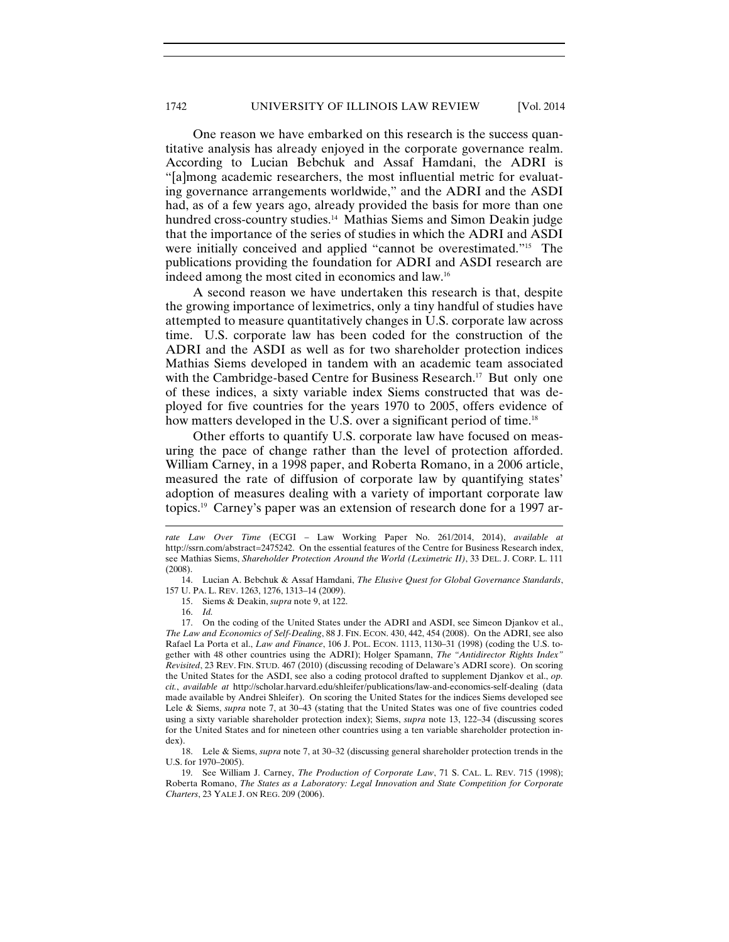One reason we have embarked on this research is the success quantitative analysis has already enjoyed in the corporate governance realm. According to Lucian Bebchuk and Assaf Hamdani, the ADRI is "[a]mong academic researchers, the most influential metric for evaluating governance arrangements worldwide," and the ADRI and the ASDI had, as of a few years ago, already provided the basis for more than one hundred cross-country studies.<sup>14</sup> Mathias Siems and Simon Deakin judge that the importance of the series of studies in which the ADRI and ASDI were initially conceived and applied "cannot be overestimated."<sup>15</sup> The publications providing the foundation for ADRI and ASDI research are indeed among the most cited in economics and law.16

A second reason we have undertaken this research is that, despite the growing importance of leximetrics, only a tiny handful of studies have attempted to measure quantitatively changes in U.S. corporate law across time. U.S. corporate law has been coded for the construction of the ADRI and the ASDI as well as for two shareholder protection indices Mathias Siems developed in tandem with an academic team associated with the Cambridge-based Centre for Business Research.<sup>17</sup> But only one of these indices, a sixty variable index Siems constructed that was deployed for five countries for the years 1970 to 2005, offers evidence of how matters developed in the U.S. over a significant period of time.<sup>18</sup>

Other efforts to quantify U.S. corporate law have focused on measuring the pace of change rather than the level of protection afforded. William Carney, in a 1998 paper, and Roberta Romano, in a 2006 article, measured the rate of diffusion of corporate law by quantifying states' adoption of measures dealing with a variety of important corporate law topics.19 Carney's paper was an extension of research done for a 1997 ar-

15. Siems & Deakin, *supra* note 9, at 122.

*rate Law Over Time* (ECGI – Law Working Paper No. 261/2014, 2014), *available at*  http://ssrn.com/abstract=2475242. On the essential features of the Centre for Business Research index, see Mathias Siems, *Shareholder Protection Around the World (Leximetric II)*, 33 DEL. J. CORP. L. 111 (2008).

 <sup>14.</sup> Lucian A. Bebchuk & Assaf Hamdani, *The Elusive Quest for Global Governance Standards*, 157 U. PA. L. REV. 1263, 1276, 1313–14 (2009).

 <sup>16.</sup> *Id.*

 <sup>17.</sup> On the coding of the United States under the ADRI and ASDI, see Simeon Djankov et al., *The Law and Economics of Self-Dealing*, 88 J. FIN. ECON. 430, 442, 454 (2008). On the ADRI, see also Rafael La Porta et al., *Law and Finance*, 106 J. POL. ECON. 1113, 1130–31 (1998) (coding the U.S. together with 48 other countries using the ADRI); Holger Spamann, *The "Antidirector Rights Index" Revisited*, 23 REV. FIN. STUD. 467 (2010) (discussing recoding of Delaware's ADRI score). On scoring the United States for the ASDI, see also a coding protocol drafted to supplement Djankov et al., *op. cit.*, *available at* http://scholar.harvard.edu/shleifer/publications/law-and-economics-self-dealing (data made available by Andrei Shleifer). On scoring the United States for the indices Siems developed see Lele & Siems, *supra* note 7, at 30–43 (stating that the United States was one of five countries coded using a sixty variable shareholder protection index); Siems, *supra* note 13, 122–34 (discussing scores for the United States and for nineteen other countries using a ten variable shareholder protection index).

 <sup>18.</sup> Lele & Siems, *supra* note 7, at 30–32 (discussing general shareholder protection trends in the U.S. for 1970–2005).

 <sup>19.</sup> See William J. Carney, *The Production of Corporate Law*, 71 S. CAL. L. REV. 715 (1998); Roberta Romano, *The States as a Laboratory: Legal Innovation and State Competition for Corporate Charters*, 23 YALE J. ON REG. 209 (2006).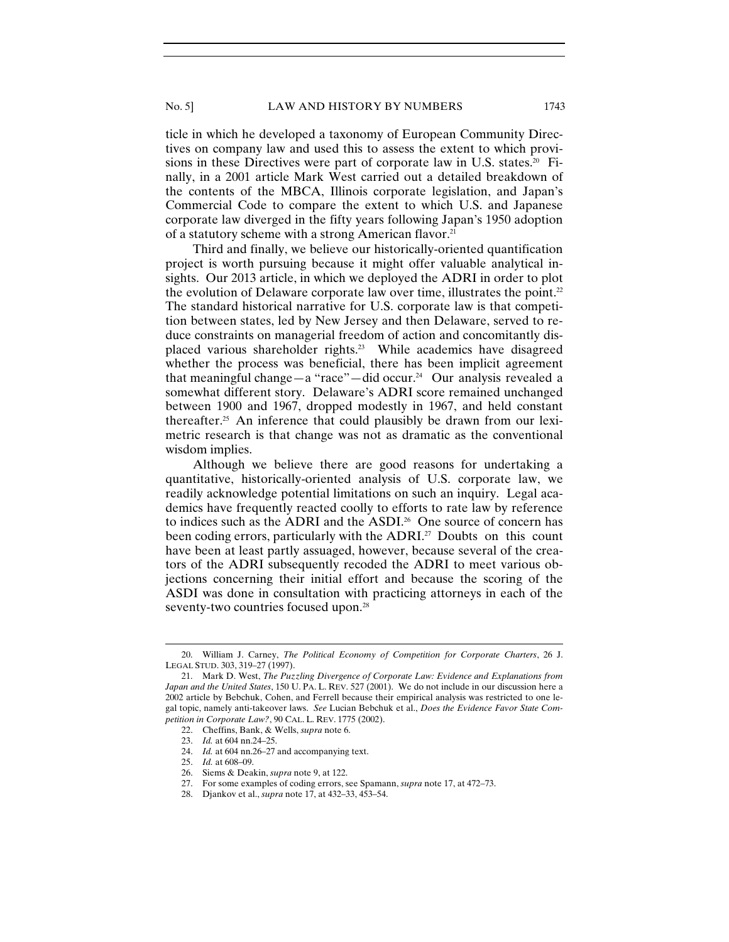ticle in which he developed a taxonomy of European Community Directives on company law and used this to assess the extent to which provisions in these Directives were part of corporate law in U.S. states.<sup>20</sup> Finally, in a 2001 article Mark West carried out a detailed breakdown of the contents of the MBCA, Illinois corporate legislation, and Japan's Commercial Code to compare the extent to which U.S. and Japanese corporate law diverged in the fifty years following Japan's 1950 adoption of a statutory scheme with a strong American flavor.<sup>21</sup>

Third and finally, we believe our historically-oriented quantification project is worth pursuing because it might offer valuable analytical insights. Our 2013 article, in which we deployed the ADRI in order to plot the evolution of Delaware corporate law over time, illustrates the point.<sup>22</sup> The standard historical narrative for U.S. corporate law is that competition between states, led by New Jersey and then Delaware, served to reduce constraints on managerial freedom of action and concomitantly displaced various shareholder rights.23 While academics have disagreed whether the process was beneficial, there has been implicit agreement that meaningful change—a "race"—did occur.<sup>24</sup> Our analysis revealed a somewhat different story. Delaware's ADRI score remained unchanged between 1900 and 1967, dropped modestly in 1967, and held constant thereafter.<sup>25</sup> An inference that could plausibly be drawn from our leximetric research is that change was not as dramatic as the conventional wisdom implies.

Although we believe there are good reasons for undertaking a quantitative, historically-oriented analysis of U.S. corporate law, we readily acknowledge potential limitations on such an inquiry. Legal academics have frequently reacted coolly to efforts to rate law by reference to indices such as the ADRI and the ASDI.<sup>26</sup> One source of concern has been coding errors, particularly with the ADRI.<sup>27</sup> Doubts on this count have been at least partly assuaged, however, because several of the creators of the ADRI subsequently recoded the ADRI to meet various objections concerning their initial effort and because the scoring of the ASDI was done in consultation with practicing attorneys in each of the seventy-two countries focused upon.<sup>28</sup>

<sup>20.</sup> William J. Carney, *The Political Economy of Competition for Corporate Charters*, 26 J. LEGAL STUD. 303, 319–27 (1997).

 <sup>21.</sup> Mark D. West, *The Puzzling Divergence of Corporate Law: Evidence and Explanations from Japan and the United States*, 150 U. PA. L. REV. 527 (2001). We do not include in our discussion here a 2002 article by Bebchuk, Cohen, and Ferrell because their empirical analysis was restricted to one legal topic, namely anti-takeover laws. *See* Lucian Bebchuk et al., *Does the Evidence Favor State Competition in Corporate Law?*, 90 CAL. L. REV. 1775 (2002).

 <sup>22.</sup> Cheffins, Bank, & Wells, *supra* note 6.

 <sup>23.</sup> *Id.* at 604 nn.24–25.

 <sup>24.</sup> *Id.* at 604 nn.26–27 and accompanying text.

 <sup>25.</sup> *Id.* at 608–09.

 <sup>26.</sup> Siems & Deakin, *supra* note 9, at 122.

 <sup>27.</sup> For some examples of coding errors, see Spamann, *supra* note 17, at 472–73.

 <sup>28.</sup> Djankov et al., *supra* note 17, at 432–33, 453–54.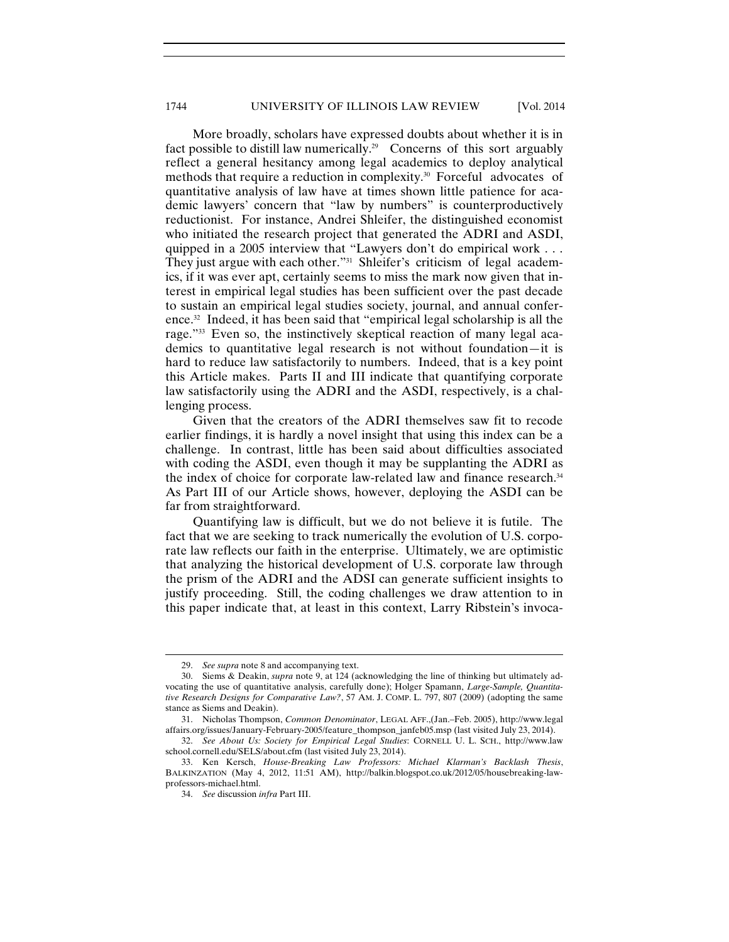More broadly, scholars have expressed doubts about whether it is in fact possible to distill law numerically.<sup>29</sup> Concerns of this sort arguably reflect a general hesitancy among legal academics to deploy analytical methods that require a reduction in complexity.<sup>30</sup> Forceful advocates of quantitative analysis of law have at times shown little patience for academic lawyers' concern that "law by numbers" is counterproductively reductionist. For instance, Andrei Shleifer, the distinguished economist who initiated the research project that generated the ADRI and ASDI, quipped in a 2005 interview that "Lawyers don't do empirical work . . . They just argue with each other."<sup>31</sup> Shleifer's criticism of legal academics, if it was ever apt, certainly seems to miss the mark now given that interest in empirical legal studies has been sufficient over the past decade to sustain an empirical legal studies society, journal, and annual conference.32 Indeed, it has been said that "empirical legal scholarship is all the rage."33 Even so, the instinctively skeptical reaction of many legal academics to quantitative legal research is not without foundation—it is hard to reduce law satisfactorily to numbers. Indeed, that is a key point this Article makes. Parts II and III indicate that quantifying corporate law satisfactorily using the ADRI and the ASDI, respectively, is a challenging process.

Given that the creators of the ADRI themselves saw fit to recode earlier findings, it is hardly a novel insight that using this index can be a challenge. In contrast, little has been said about difficulties associated with coding the ASDI, even though it may be supplanting the ADRI as the index of choice for corporate law-related law and finance research.<sup>34</sup> As Part III of our Article shows, however, deploying the ASDI can be far from straightforward.

Quantifying law is difficult, but we do not believe it is futile. The fact that we are seeking to track numerically the evolution of U.S. corporate law reflects our faith in the enterprise. Ultimately, we are optimistic that analyzing the historical development of U.S. corporate law through the prism of the ADRI and the ADSI can generate sufficient insights to justify proceeding. Still, the coding challenges we draw attention to in this paper indicate that, at least in this context, Larry Ribstein's invoca-

<sup>29.</sup> *See supra* note 8 and accompanying text.

 <sup>30.</sup> Siems & Deakin, *supra* note 9, at 124 (acknowledging the line of thinking but ultimately advocating the use of quantitative analysis, carefully done); Holger Spamann, *Large-Sample, Quantitative Research Designs for Comparative Law?*, 57 AM. J. COMP. L. 797, 807 (2009) (adopting the same stance as Siems and Deakin).

 <sup>31.</sup> Nicholas Thompson, *Common Denominator*, LEGAL AFF.,(Jan.–Feb. 2005), http://www.legal affairs.org/issues/January-February-2005/feature\_thompson\_janfeb05.msp (last visited July 23, 2014).

 <sup>32.</sup> *See About Us: Society for Empirical Legal Studies*: CORNELL U. L. SCH., http://www.law school.cornell.edu/SELS/about.cfm (last visited July 23, 2014).

 <sup>33.</sup> Ken Kersch, *House-Breaking Law Professors: Michael Klarman's Backlash Thesis*, BALKINZATION (May 4, 2012, 11:51 AM), http://balkin.blogspot.co.uk/2012/05/housebreaking-lawprofessors-michael.html.

 <sup>34.</sup> *See* discussion *infra* Part III.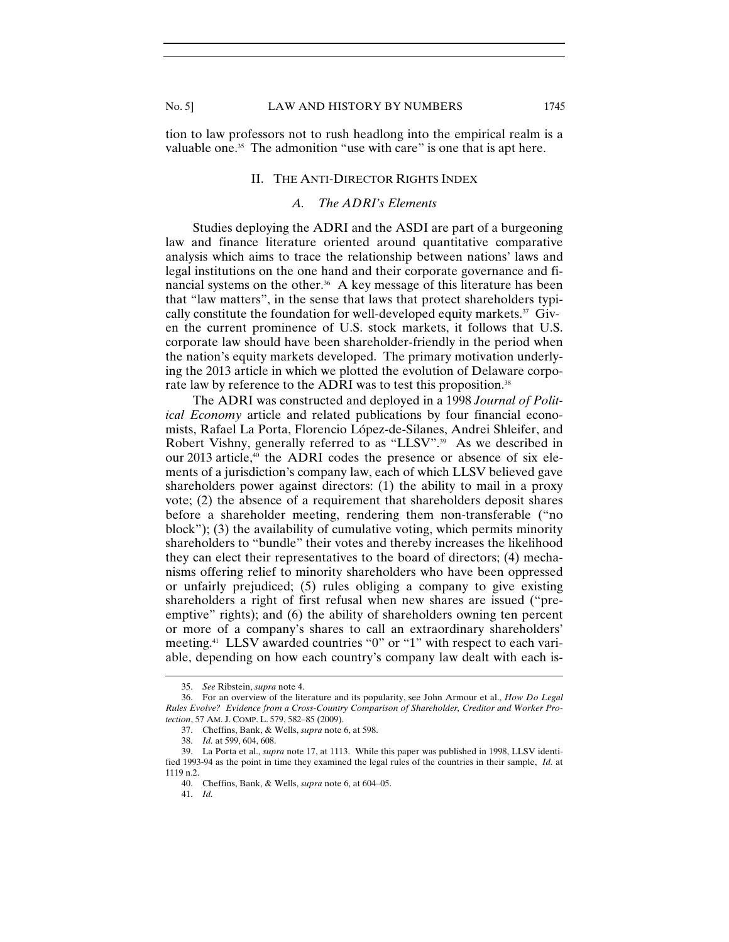tion to law professors not to rush headlong into the empirical realm is a valuable one.<sup>35</sup> The admonition "use with care" is one that is apt here.

#### II. THE ANTI-DIRECTOR RIGHTS INDEX

# *A. The ADRI's Elements*

Studies deploying the ADRI and the ASDI are part of a burgeoning law and finance literature oriented around quantitative comparative analysis which aims to trace the relationship between nations' laws and legal institutions on the one hand and their corporate governance and financial systems on the other.<sup>36</sup> A key message of this literature has been that "law matters", in the sense that laws that protect shareholders typically constitute the foundation for well-developed equity markets. $37$  Given the current prominence of U.S. stock markets, it follows that U.S. corporate law should have been shareholder-friendly in the period when the nation's equity markets developed. The primary motivation underlying the 2013 article in which we plotted the evolution of Delaware corporate law by reference to the ADRI was to test this proposition.<sup>38</sup>

The ADRI was constructed and deployed in a 1998 *Journal of Political Economy* article and related publications by four financial economists, Rafael La Porta, Florencio López-de-Silanes, Andrei Shleifer, and Robert Vishny, generally referred to as "LLSV".<sup>39</sup> As we described in our 2013 article,<sup>40</sup> the ADRI codes the presence or absence of six elements of a jurisdiction's company law, each of which LLSV believed gave shareholders power against directors: (1) the ability to mail in a proxy vote; (2) the absence of a requirement that shareholders deposit shares before a shareholder meeting, rendering them non-transferable ("no block"); (3) the availability of cumulative voting, which permits minority shareholders to "bundle" their votes and thereby increases the likelihood they can elect their representatives to the board of directors; (4) mechanisms offering relief to minority shareholders who have been oppressed or unfairly prejudiced; (5) rules obliging a company to give existing shareholders a right of first refusal when new shares are issued ("preemptive" rights); and (6) the ability of shareholders owning ten percent or more of a company's shares to call an extraordinary shareholders' meeting.41 LLSV awarded countries "0" or "1" with respect to each variable, depending on how each country's company law dealt with each is-

<sup>35.</sup> *See* Ribstein, *supra* note 4.

 <sup>36.</sup> For an overview of the literature and its popularity, see John Armour et al., *How Do Legal Rules Evolve? Evidence from a Cross-Country Comparison of Shareholder, Creditor and Worker Protection*, 57 AM. J. COMP. L. 579, 582–85 (2009).

 <sup>37.</sup> Cheffins, Bank, & Wells, *supra* note 6, at 598.

 <sup>38.</sup> *Id.* at 599, 604, 608.

 <sup>39.</sup> La Porta et al., *supra* note 17, at 1113. While this paper was published in 1998, LLSV identified 1993-94 as the point in time they examined the legal rules of the countries in their sample, *Id.* at 1119 n.2.

 <sup>40.</sup> Cheffins, Bank, & Wells, *supra* note 6, at 604–05.

 <sup>41.</sup> *Id.*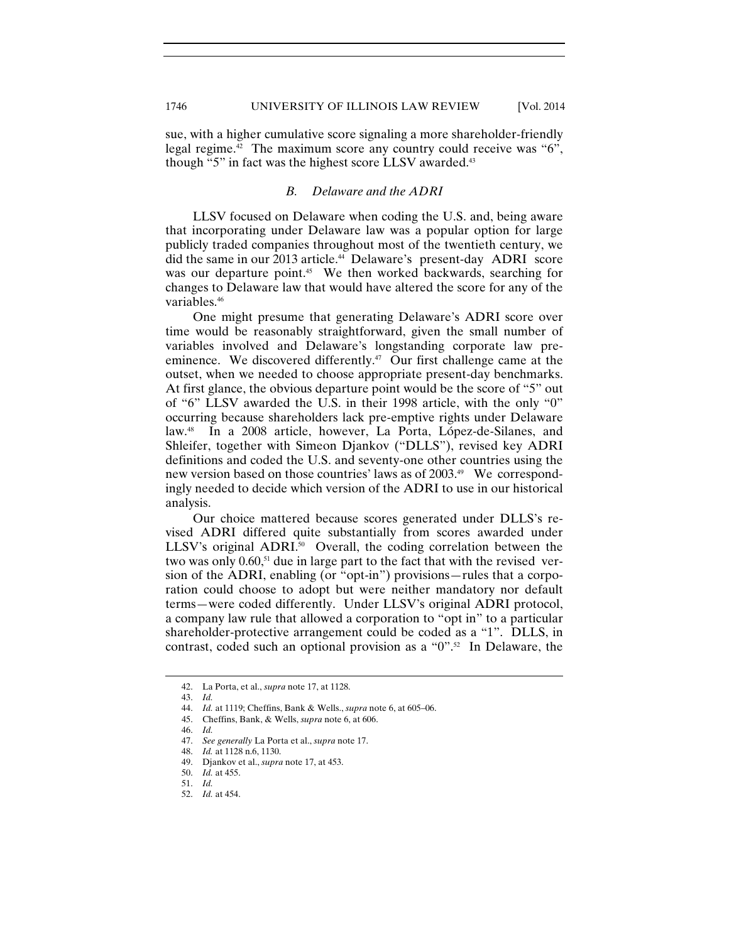sue, with a higher cumulative score signaling a more shareholder-friendly legal regime.<sup>42</sup> The maximum score any country could receive was "6", though "5" in fact was the highest score LLSV awarded.<sup>43</sup>

## *B. Delaware and the ADRI*

LLSV focused on Delaware when coding the U.S. and, being aware that incorporating under Delaware law was a popular option for large publicly traded companies throughout most of the twentieth century, we did the same in our 2013 article.44 Delaware's present-day ADRI score was our departure point.<sup>45</sup> We then worked backwards, searching for changes to Delaware law that would have altered the score for any of the variables.46

One might presume that generating Delaware's ADRI score over time would be reasonably straightforward, given the small number of variables involved and Delaware's longstanding corporate law preeminence. We discovered differently.<sup>47</sup> Our first challenge came at the outset, when we needed to choose appropriate present-day benchmarks. At first glance, the obvious departure point would be the score of "5" out of "6" LLSV awarded the U.S. in their 1998 article, with the only "0" occurring because shareholders lack pre-emptive rights under Delaware law.48 In a 2008 article, however, La Porta, López-de-Silanes, and Shleifer, together with Simeon Djankov ("DLLS"), revised key ADRI definitions and coded the U.S. and seventy-one other countries using the new version based on those countries' laws as of 2003.49 We correspondingly needed to decide which version of the ADRI to use in our historical analysis.

Our choice mattered because scores generated under DLLS's revised ADRI differed quite substantially from scores awarded under LLSV's original ADRI.<sup>50</sup> Overall, the coding correlation between the two was only  $0.60$ ,<sup>51</sup> due in large part to the fact that with the revised version of the ADRI, enabling (or "opt-in") provisions—rules that a corporation could choose to adopt but were neither mandatory nor default terms—were coded differently. Under LLSV's original ADRI protocol, a company law rule that allowed a corporation to "opt in" to a particular shareholder-protective arrangement could be coded as a "1". DLLS, in contrast, coded such an optional provision as a "0".<sup>52</sup> In Delaware, the

<sup>42.</sup> La Porta, et al., *supra* note 17, at 1128.

 <sup>43.</sup> *Id.*

 <sup>44.</sup> *Id.* at 1119; Cheffins, Bank & Wells., *supra* note 6, at 605–06.

 <sup>45.</sup> Cheffins, Bank, & Wells, *supra* note 6, at 606.

 <sup>46.</sup> *Id.*

 <sup>47.</sup> *See generally* La Porta et al., *supra* note 17.

 <sup>48.</sup> *Id.* at 1128 n.6, 1130.

 <sup>49.</sup> Djankov et al., *supra* note 17, at 453.

 <sup>50.</sup> *Id.* at 455.

 <sup>51.</sup> *Id.*

 <sup>52.</sup> *Id.* at 454.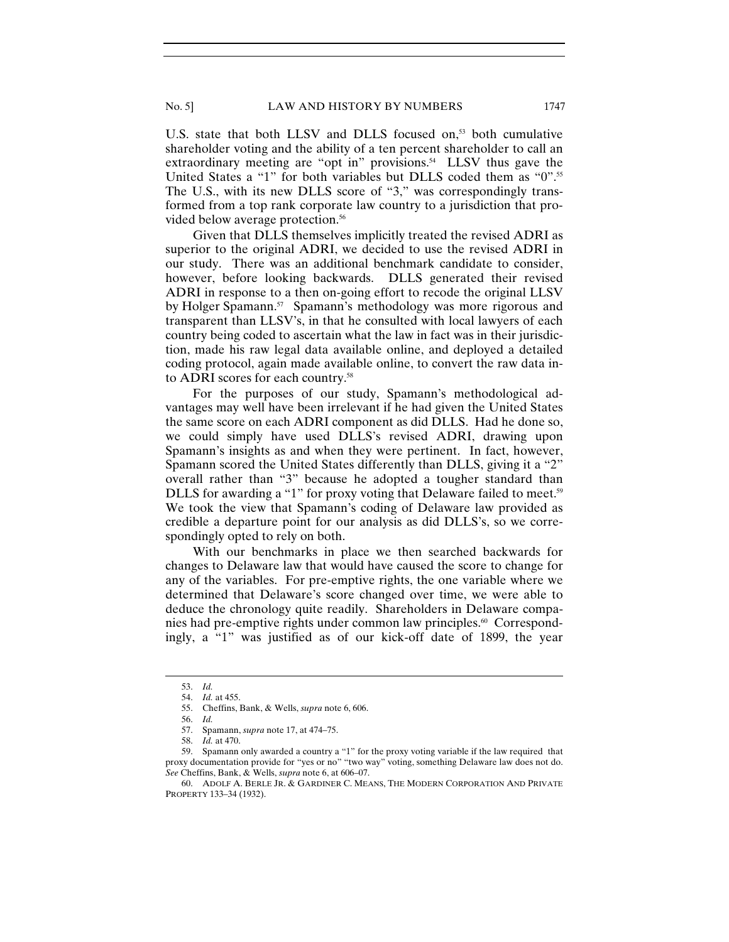U.S. state that both LLSV and DLLS focused on,<sup>53</sup> both cumulative shareholder voting and the ability of a ten percent shareholder to call an extraordinary meeting are "opt in" provisions.<sup>54</sup> LLSV thus gave the United States a "1" for both variables but DLLS coded them as "0".<sup>55</sup> The U.S., with its new DLLS score of "3," was correspondingly transformed from a top rank corporate law country to a jurisdiction that provided below average protection.<sup>56</sup>

Given that DLLS themselves implicitly treated the revised ADRI as superior to the original ADRI, we decided to use the revised ADRI in our study. There was an additional benchmark candidate to consider, however, before looking backwards. DLLS generated their revised ADRI in response to a then on-going effort to recode the original LLSV by Holger Spamann.<sup>57</sup> Spamann's methodology was more rigorous and transparent than LLSV's, in that he consulted with local lawyers of each country being coded to ascertain what the law in fact was in their jurisdiction, made his raw legal data available online, and deployed a detailed coding protocol, again made available online, to convert the raw data into ADRI scores for each country.58

For the purposes of our study, Spamann's methodological advantages may well have been irrelevant if he had given the United States the same score on each ADRI component as did DLLS. Had he done so, we could simply have used DLLS's revised ADRI, drawing upon Spamann's insights as and when they were pertinent. In fact, however, Spamann scored the United States differently than DLLS, giving it a "2" overall rather than "3" because he adopted a tougher standard than DLLS for awarding a "1" for proxy voting that Delaware failed to meet.<sup>59</sup> We took the view that Spamann's coding of Delaware law provided as credible a departure point for our analysis as did DLLS's, so we correspondingly opted to rely on both.

With our benchmarks in place we then searched backwards for changes to Delaware law that would have caused the score to change for any of the variables. For pre-emptive rights, the one variable where we determined that Delaware's score changed over time, we were able to deduce the chronology quite readily. Shareholders in Delaware companies had pre-emptive rights under common law principles.<sup>60</sup> Correspondingly, a "1" was justified as of our kick-off date of 1899, the year

<sup>53.</sup> *Id.*

 <sup>54.</sup> *Id.* at 455.

 <sup>55.</sup> Cheffins, Bank, & Wells, *supra* note 6, 606.

 <sup>56.</sup> *Id.*

 <sup>57.</sup> Spamann, *supra* note 17, at 474–75.

 <sup>58.</sup> *Id.* at 470.

 <sup>59.</sup> Spamann only awarded a country a "1" for the proxy voting variable if the law required that proxy documentation provide for "yes or no" "two way" voting, something Delaware law does not do. *See* Cheffins, Bank, & Wells, *supra* note 6, at 606–07.

 <sup>60.</sup> ADOLF A. BERLE JR. & GARDINER C. MEANS, THE MODERN CORPORATION AND PRIVATE PROPERTY 133–34 (1932).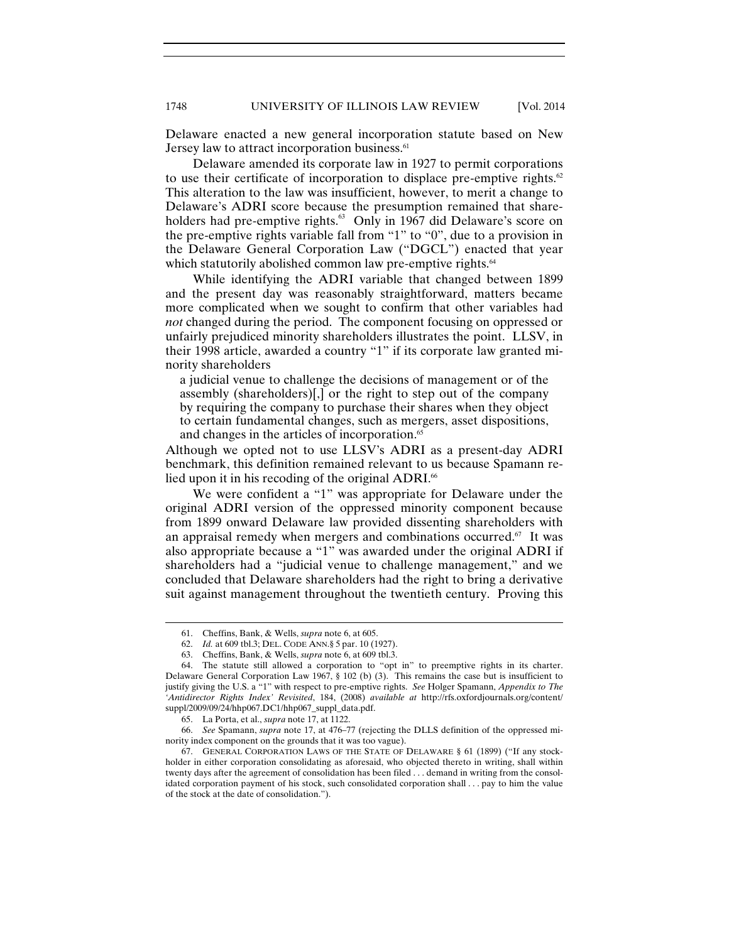Delaware enacted a new general incorporation statute based on New Jersey law to attract incorporation business.<sup>61</sup>

Delaware amended its corporate law in 1927 to permit corporations to use their certificate of incorporation to displace pre-emptive rights. $62$ This alteration to the law was insufficient, however, to merit a change to Delaware's ADRI score because the presumption remained that shareholders had pre-emptive rights.<sup>63</sup> Only in 1967 did Delaware's score on the pre-emptive rights variable fall from "1" to "0", due to a provision in the Delaware General Corporation Law ("DGCL") enacted that year which statutorily abolished common law pre-emptive rights.<sup>64</sup>

While identifying the ADRI variable that changed between 1899 and the present day was reasonably straightforward, matters became more complicated when we sought to confirm that other variables had *not* changed during the period. The component focusing on oppressed or unfairly prejudiced minority shareholders illustrates the point. LLSV, in their 1998 article, awarded a country "1" if its corporate law granted minority shareholders

a judicial venue to challenge the decisions of management or of the assembly (shareholders)[,] or the right to step out of the company by requiring the company to purchase their shares when they object to certain fundamental changes, such as mergers, asset dispositions, and changes in the articles of incorporation.<sup>65</sup>

Although we opted not to use LLSV's ADRI as a present-day ADRI benchmark, this definition remained relevant to us because Spamann relied upon it in his recoding of the original ADRI.<sup>66</sup>

We were confident a "1" was appropriate for Delaware under the original ADRI version of the oppressed minority component because from 1899 onward Delaware law provided dissenting shareholders with an appraisal remedy when mergers and combinations occurred.<sup>67</sup> It was also appropriate because a "1" was awarded under the original ADRI if shareholders had a "judicial venue to challenge management," and we concluded that Delaware shareholders had the right to bring a derivative suit against management throughout the twentieth century. Proving this

<sup>61.</sup> Cheffins, Bank, & Wells, *supra* note 6, at 605.

 <sup>62.</sup> *Id.* at 609 tbl.3; DEL. CODE ANN.§ 5 par. 10 (1927).

 <sup>63.</sup> Cheffins, Bank, & Wells, *supra* note 6, at 609 tbl.3.

 <sup>64.</sup> The statute still allowed a corporation to "opt in" to preemptive rights in its charter. Delaware General Corporation Law 1967, § 102 (b) (3). This remains the case but is insufficient to justify giving the U.S. a "1" with respect to pre-emptive rights. *See* Holger Spamann, *Appendix to The 'Antidirector Rights Index' Revisited*, 184, (2008) *available at* http://rfs.oxfordjournals.org/content/ suppl/2009/09/24/hhp067.DC1/hhp067\_suppl\_data.pdf.

 <sup>65.</sup> La Porta, et al., *supra* note 17, at 1122.

 <sup>66.</sup> *See* Spamann, *supra* note 17, at 476–77 (rejecting the DLLS definition of the oppressed minority index component on the grounds that it was too vague).

 <sup>67.</sup> GENERAL CORPORATION LAWS OF THE STATE OF DELAWARE § 61 (1899) ("If any stockholder in either corporation consolidating as aforesaid, who objected thereto in writing, shall within twenty days after the agreement of consolidation has been filed . . . demand in writing from the consolidated corporation payment of his stock, such consolidated corporation shall . . . pay to him the value of the stock at the date of consolidation.").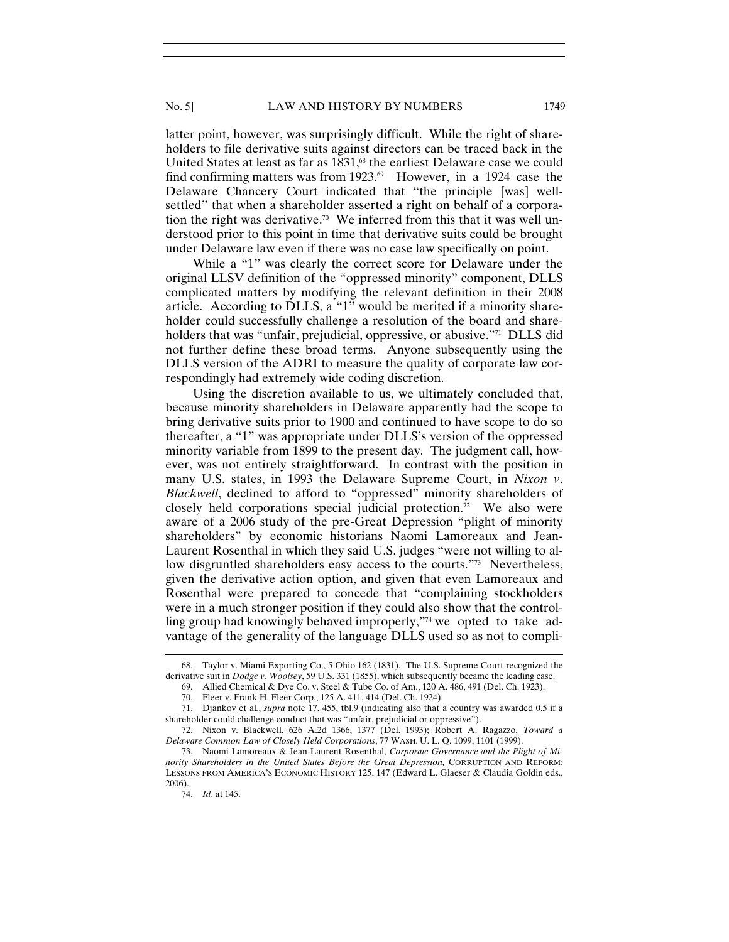latter point, however, was surprisingly difficult. While the right of shareholders to file derivative suits against directors can be traced back in the United States at least as far as 1831,<sup>68</sup> the earliest Delaware case we could find confirming matters was from 1923. $\degree$  However, in a 1924 case the Delaware Chancery Court indicated that "the principle [was] wellsettled" that when a shareholder asserted a right on behalf of a corporation the right was derivative.<sup>70</sup> We inferred from this that it was well understood prior to this point in time that derivative suits could be brought under Delaware law even if there was no case law specifically on point.

While a "1" was clearly the correct score for Delaware under the original LLSV definition of the "oppressed minority" component, DLLS complicated matters by modifying the relevant definition in their 2008 article. According to DLLS, a "1" would be merited if a minority shareholder could successfully challenge a resolution of the board and shareholders that was "unfair, prejudicial, oppressive, or abusive."<sup>71</sup> DLLS did not further define these broad terms. Anyone subsequently using the DLLS version of the ADRI to measure the quality of corporate law correspondingly had extremely wide coding discretion.

Using the discretion available to us, we ultimately concluded that, because minority shareholders in Delaware apparently had the scope to bring derivative suits prior to 1900 and continued to have scope to do so thereafter, a "1" was appropriate under DLLS's version of the oppressed minority variable from 1899 to the present day. The judgment call, however, was not entirely straightforward. In contrast with the position in many U.S. states, in 1993 the Delaware Supreme Court, in *Nixon v*. *Blackwell*, declined to afford to "oppressed" minority shareholders of closely held corporations special judicial protection. $\bar{r}$  We also were aware of a 2006 study of the pre-Great Depression "plight of minority shareholders" by economic historians Naomi Lamoreaux and Jean-Laurent Rosenthal in which they said U.S. judges "were not willing to allow disgruntled shareholders easy access to the courts."73 Nevertheless, given the derivative action option, and given that even Lamoreaux and Rosenthal were prepared to concede that "complaining stockholders were in a much stronger position if they could also show that the controlling group had knowingly behaved improperly,"74 we opted to take advantage of the generality of the language DLLS used so as not to compli-

<sup>68.</sup> Taylor v. Miami Exporting Co., 5 Ohio 162 (1831). The U.S. Supreme Court recognized the derivative suit in *Dodge v. Woolsey*, 59 U.S. 331 (1855), which subsequently became the leading case.

 <sup>69.</sup> Allied Chemical & Dye Co. v. Steel & Tube Co. of Am., 120 A. 486, 491 (Del. Ch. 1923).

 <sup>70.</sup> Fleer v. Frank H. Fleer Corp., 125 A. 411, 414 (Del. Ch. 1924).

 <sup>71.</sup> Djankov et al*.*, *supra* note 17, 455, tbl.9 (indicating also that a country was awarded 0.5 if a shareholder could challenge conduct that was "unfair, prejudicial or oppressive").

 <sup>72.</sup> Nixon v. Blackwell, 626 A.2d 1366, 1377 (Del. 1993); Robert A. Ragazzo, *Toward a Delaware Common Law of Closely Held Corporations*, 77 WASH. U. L. Q. 1099, 1101 (1999).

 <sup>73.</sup> Naomi Lamoreaux & Jean-Laurent Rosenthal, *Corporate Governance and the Plight of Mi*nority Shareholders in the United States Before the Great Depression, CORRUPTION AND REFORM: LESSONS FROM AMERICA'S ECONOMIC HISTORY 125, 147 (Edward L. Glaeser & Claudia Goldin eds., 2006).

 <sup>74.</sup> *Id*. at 145.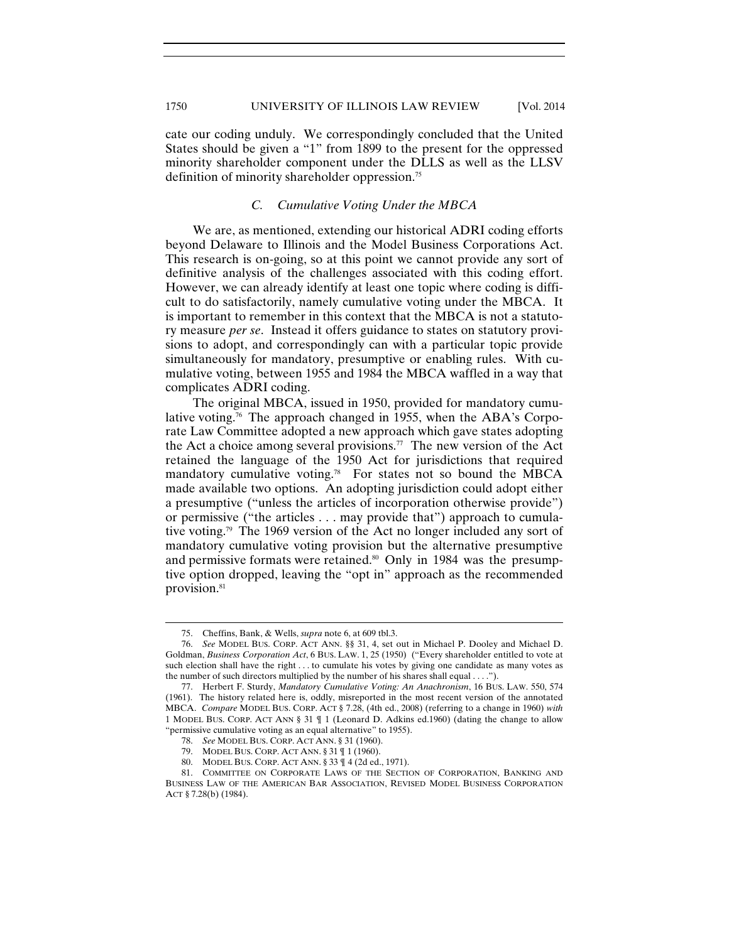cate our coding unduly. We correspondingly concluded that the United States should be given a "1" from 1899 to the present for the oppressed minority shareholder component under the DLLS as well as the LLSV definition of minority shareholder oppression.75

# *C. Cumulative Voting Under the MBCA*

We are, as mentioned, extending our historical ADRI coding efforts beyond Delaware to Illinois and the Model Business Corporations Act. This research is on-going, so at this point we cannot provide any sort of definitive analysis of the challenges associated with this coding effort. However, we can already identify at least one topic where coding is difficult to do satisfactorily, namely cumulative voting under the MBCA. It is important to remember in this context that the MBCA is not a statutory measure *per se*. Instead it offers guidance to states on statutory provisions to adopt, and correspondingly can with a particular topic provide simultaneously for mandatory, presumptive or enabling rules. With cumulative voting, between 1955 and 1984 the MBCA waffled in a way that complicates ADRI coding.

The original MBCA, issued in 1950, provided for mandatory cumulative voting.<sup>76</sup> The approach changed in 1955, when the ABA's Corporate Law Committee adopted a new approach which gave states adopting the Act a choice among several provisions.<sup>77</sup> The new version of the Act retained the language of the 1950 Act for jurisdictions that required mandatory cumulative voting.78 For states not so bound the MBCA made available two options. An adopting jurisdiction could adopt either a presumptive ("unless the articles of incorporation otherwise provide") or permissive ("the articles . . . may provide that") approach to cumulative voting.79 The 1969 version of the Act no longer included any sort of mandatory cumulative voting provision but the alternative presumptive and permissive formats were retained.<sup>80</sup> Only in 1984 was the presumptive option dropped, leaving the "opt in" approach as the recommended provision.<sup>81</sup>

<sup>75.</sup> Cheffins, Bank, & Wells, *supra* note 6, at 609 tbl.3.

 <sup>76.</sup> *See* MODEL BUS. CORP. ACT ANN. §§ 31, 4, set out in Michael P. Dooley and Michael D. Goldman, *Business Corporation Act*, 6 BUS. LAW. 1, 25 (1950) ("Every shareholder entitled to vote at such election shall have the right . . . to cumulate his votes by giving one candidate as many votes as the number of such directors multiplied by the number of his shares shall equal . . . .").

 <sup>77.</sup> Herbert F. Sturdy, *Mandatory Cumulative Voting: An Anachronism*, 16 BUS. LAW. 550, 574 (1961). The history related here is, oddly, misreported in the most recent version of the annotated MBCA. *Compare* MODEL BUS. CORP. ACT § 7.28, (4th ed., 2008) (referring to a change in 1960) *with* 1 MODEL BUS. CORP. ACT ANN § 31 ¶ 1 (Leonard D. Adkins ed.1960) (dating the change to allow "permissive cumulative voting as an equal alternative" to 1955).

 <sup>78.</sup> *See* MODEL BUS. CORP. ACT ANN. § 31 (1960).

 <sup>79.</sup> MODEL BUS. CORP. ACT ANN. § 31 ¶ 1 (1960).

 <sup>80.</sup> MODEL BUS. CORP. ACT ANN. § 33 ¶ 4 (2d ed., 1971).

 <sup>81.</sup> COMMITTEE ON CORPORATE LAWS OF THE SECTION OF CORPORATION, BANKING AND BUSINESS LAW OF THE AMERICAN BAR ASSOCIATION, REVISED MODEL BUSINESS CORPORATION ACT § 7.28(b) (1984).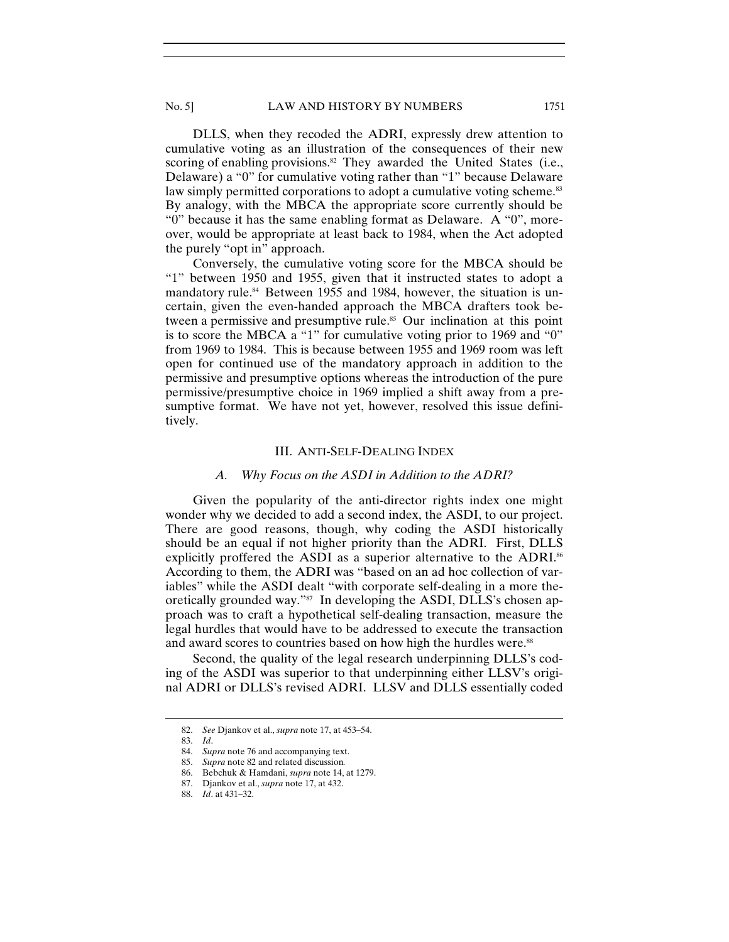DLLS, when they recoded the ADRI, expressly drew attention to cumulative voting as an illustration of the consequences of their new scoring of enabling provisions.<sup>82</sup> They awarded the United States (i.e., Delaware) a "0" for cumulative voting rather than "1" because Delaware law simply permitted corporations to adopt a cumulative voting scheme.<sup>83</sup> By analogy, with the MBCA the appropriate score currently should be "0" because it has the same enabling format as Delaware. A "0", moreover, would be appropriate at least back to 1984, when the Act adopted the purely "opt in" approach.

Conversely, the cumulative voting score for the MBCA should be "1" between 1950 and 1955, given that it instructed states to adopt a mandatory rule.<sup>84</sup> Between 1955 and 1984, however, the situation is uncertain, given the even-handed approach the MBCA drafters took between a permissive and presumptive rule.<sup>85</sup> Our inclination at this point is to score the MBCA a "1" for cumulative voting prior to 1969 and "0" from 1969 to 1984. This is because between 1955 and 1969 room was left open for continued use of the mandatory approach in addition to the permissive and presumptive options whereas the introduction of the pure permissive/presumptive choice in 1969 implied a shift away from a presumptive format. We have not yet, however, resolved this issue definitively.

#### III. ANTI-SELF-DEALING INDEX

#### *A. Why Focus on the ASDI in Addition to the ADRI?*

Given the popularity of the anti-director rights index one might wonder why we decided to add a second index, the ASDI, to our project. There are good reasons, though, why coding the ASDI historically should be an equal if not higher priority than the ADRI. First, DLLS explicitly proffered the ASDI as a superior alternative to the ADRI.<sup>86</sup> According to them, the ADRI was "based on an ad hoc collection of variables" while the ASDI dealt "with corporate self-dealing in a more theoretically grounded way."<sup>87</sup> In developing the ASDI, DLLS's chosen approach was to craft a hypothetical self-dealing transaction, measure the legal hurdles that would have to be addressed to execute the transaction and award scores to countries based on how high the hurdles were.<sup>88</sup>

Second, the quality of the legal research underpinning DLLS's coding of the ASDI was superior to that underpinning either LLSV's original ADRI or DLLS's revised ADRI. LLSV and DLLS essentially coded

<sup>82.</sup> *See* Djankov et al., *supra* note 17, at 453–54.

 <sup>83.</sup> *Id*.

 <sup>84.</sup> *Supra* note 76 and accompanying text.

 <sup>85.</sup> *Supra* note 82 and related discussion*.*

 <sup>86.</sup> Bebchuk & Hamdani, *supra* note 14, at 1279.

 <sup>87.</sup> Djankov et al., *supra* note 17, at 432.

 <sup>88.</sup> *Id*. at 431–32.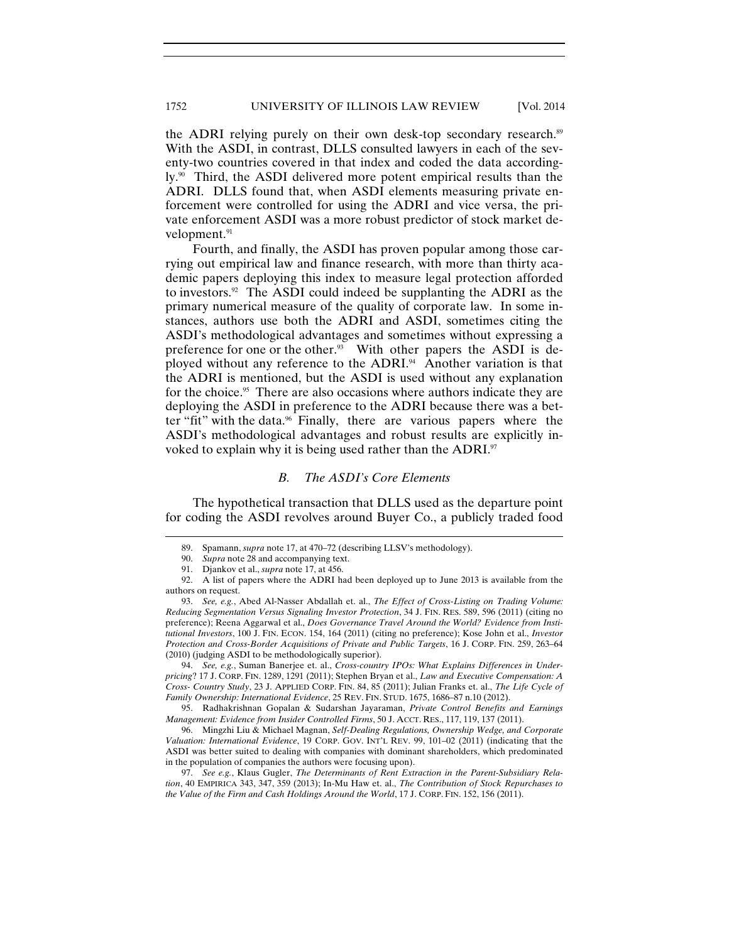the ADRI relying purely on their own desk-top secondary research.<sup>89</sup> With the ASDI, in contrast, DLLS consulted lawyers in each of the seventy-two countries covered in that index and coded the data accordingly.<sup>90</sup> Third, the ASDI delivered more potent empirical results than the ADRI. DLLS found that, when ASDI elements measuring private enforcement were controlled for using the ADRI and vice versa, the private enforcement ASDI was a more robust predictor of stock market development.<sup>91</sup>

Fourth, and finally, the ASDI has proven popular among those carrying out empirical law and finance research, with more than thirty academic papers deploying this index to measure legal protection afforded to investors.92 The ASDI could indeed be supplanting the ADRI as the primary numerical measure of the quality of corporate law. In some instances, authors use both the ADRI and ASDI, sometimes citing the ASDI's methodological advantages and sometimes without expressing a preference for one or the other.<sup>93</sup> With other papers the ASDI is deployed without any reference to the ADRI.<sup>94</sup> Another variation is that the ADRI is mentioned, but the ASDI is used without any explanation for the choice.<sup>95</sup> There are also occasions where authors indicate they are deploying the ASDI in preference to the ADRI because there was a better "fit" with the data.96 Finally, there are various papers where the ASDI's methodological advantages and robust results are explicitly invoked to explain why it is being used rather than the ADRI.<sup>97</sup>

# *B. The ASDI's Core Elements*

The hypothetical transaction that DLLS used as the departure point for coding the ASDI revolves around Buyer Co., a publicly traded food

 $\overline{a}$ 

 94. *See, e.g.*, Suman Banerjee et. al., *Cross-country IPOs: What Explains Differences in Underpricing*? 17 J. CORP. FIN. 1289, 1291 (2011); Stephen Bryan et al., *Law and Executive Compensation: A Cross- Country Study*, 23 J. APPLIED CORP. FIN. 84, 85 (2011); Julian Franks et. al., *The Life Cycle of Family Ownership: International Evidence*, 25 REV. FIN. STUD. 1675, 1686–87 n.10 (2012).

 95. Radhakrishnan Gopalan & Sudarshan Jayaraman, *Private Control Benefits and Earnings Management: Evidence from Insider Controlled Firms*, 50 J. ACCT. RES., 117, 119, 137 (2011).

 96. Mingzhi Liu & Michael Magnan, *Self-Dealing Regulations, Ownership Wedge, and Corporate Valuation: International Evidence*, 19 CORP. GOV. INT'L REV. 99, 101–02 (2011) (indicating that the ASDI was better suited to dealing with companies with dominant shareholders, which predominated in the population of companies the authors were focusing upon).

 97. *See e.g.*, Klaus Gugler, *The Determinants of Rent Extraction in the Parent-Subsidiary Relation*, 40 EMPIRICA 343, 347, 359 (2013); In-Mu Haw et. al., *The Contribution of Stock Repurchases to the Value of the Firm and Cash Holdings Around the World*, 17 J. CORP. FIN. 152, 156 (2011).

<sup>89.</sup> Spamann, *supra* note 17, at 470–72 (describing LLSV's methodology).

 <sup>90.</sup> *Supra* note 28 and accompanying text.

 <sup>91.</sup> Djankov et al., *supra* note 17, at 456.

 <sup>92.</sup> A list of papers where the ADRI had been deployed up to June 2013 is available from the authors on request.

 <sup>93.</sup> *See, e.g.*, Abed Al-Nasser Abdallah et. al., *The Effect of Cross-Listing on Trading Volume: Reducing Segmentation Versus Signaling Investor Protection*, 34 J. FIN. RES. 589, 596 (2011) (citing no preference); Reena Aggarwal et al., *Does Governance Travel Around the World? Evidence from Institutional Investors*, 100 J. FIN. ECON. 154, 164 (2011) (citing no preference); Kose John et al., *Investor Protection and Cross-Border Acquisitions of Private and Public Targets*, 16 J. CORP. FIN. 259, 263–64 (2010) (judging ASDI to be methodologically superior).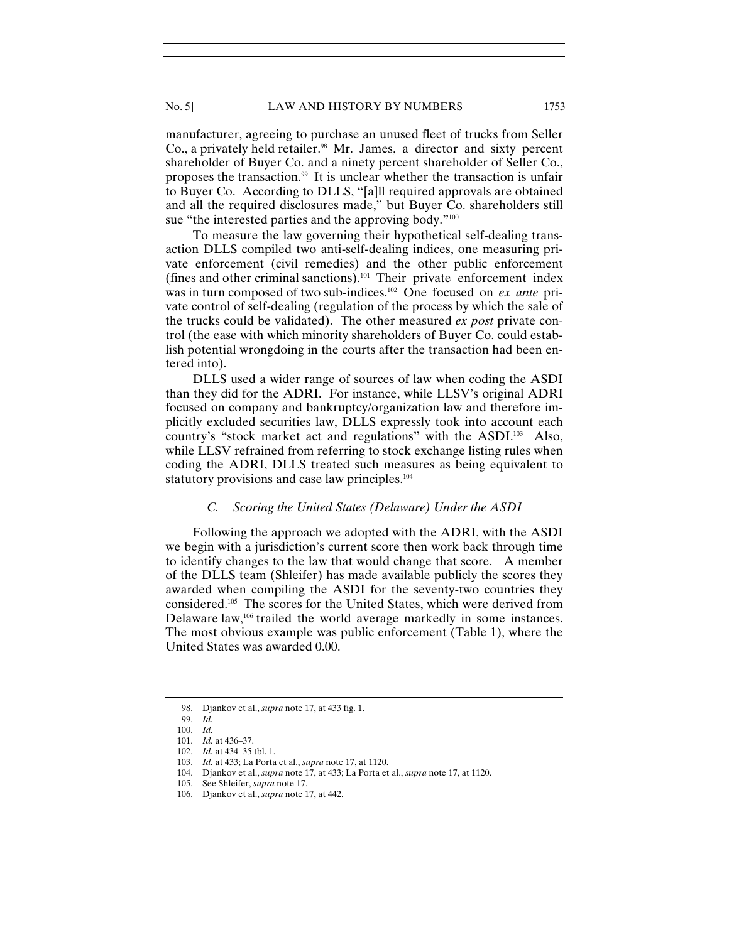No. 5] LAW AND HISTORY BY NUMBERS 1753

manufacturer, agreeing to purchase an unused fleet of trucks from Seller Co., a privately held retailer.<sup>98</sup> Mr. James, a director and sixty percent shareholder of Buyer Co. and a ninety percent shareholder of Seller Co., proposes the transaction.99 It is unclear whether the transaction is unfair to Buyer Co. According to DLLS, "[a]ll required approvals are obtained and all the required disclosures made," but Buyer Co. shareholders still sue "the interested parties and the approving body."<sup>100</sup>

To measure the law governing their hypothetical self-dealing transaction DLLS compiled two anti-self-dealing indices, one measuring private enforcement (civil remedies) and the other public enforcement (fines and other criminal sanctions).101 Their private enforcement index was in turn composed of two sub-indices.102 One focused on *ex ante* private control of self-dealing (regulation of the process by which the sale of the trucks could be validated). The other measured *ex post* private control (the ease with which minority shareholders of Buyer Co. could establish potential wrongdoing in the courts after the transaction had been entered into).

DLLS used a wider range of sources of law when coding the ASDI than they did for the ADRI. For instance, while LLSV's original ADRI focused on company and bankruptcy/organization law and therefore implicitly excluded securities law, DLLS expressly took into account each country's "stock market act and regulations" with the ASDI.103 Also, while LLSV refrained from referring to stock exchange listing rules when coding the ADRI, DLLS treated such measures as being equivalent to statutory provisions and case law principles.<sup>104</sup>

#### *C. Scoring the United States (Delaware) Under the ASDI*

Following the approach we adopted with the ADRI, with the ASDI we begin with a jurisdiction's current score then work back through time to identify changes to the law that would change that score. A member of the DLLS team (Shleifer) has made available publicly the scores they awarded when compiling the ASDI for the seventy-two countries they considered.105 The scores for the United States, which were derived from Delaware law,<sup>106</sup> trailed the world average markedly in some instances. The most obvious example was public enforcement (Table 1), where the United States was awarded 0.00.

<sup>98.</sup> Djankov et al., *supra* note 17, at 433 fig. 1.

 <sup>99.</sup> *Id.*

 <sup>100.</sup> *Id.* 101. *Id.* at 436–37.

 <sup>102.</sup> *Id.* at 434–35 tbl. 1.

 <sup>103.</sup> *Id.* at 433; La Porta et al., *supra* note 17, at 1120.

 <sup>104.</sup> Djankov et al., *supra* note 17, at 433; La Porta et al., *supra* note 17, at 1120.

 <sup>105.</sup> See Shleifer, *supra* note 17.

 <sup>106.</sup> Djankov et al., *supra* note 17, at 442.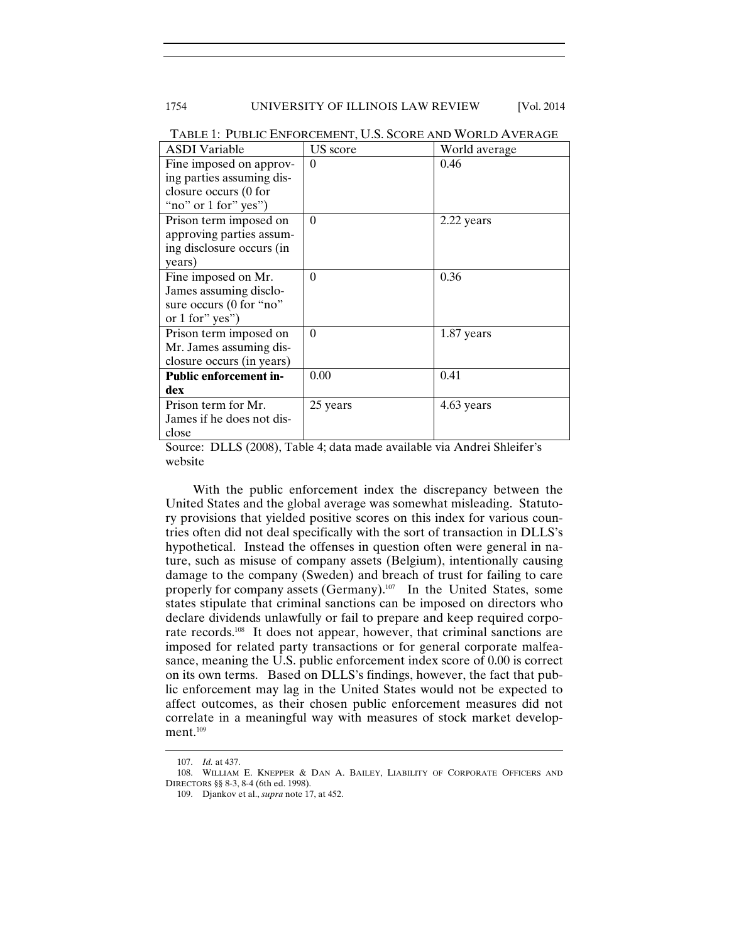# 1754 UNIVERSITY OF ILLINOIS LAW REVIEW [Vol. 2014]

| <b>ASDI</b> Variable          | US score | World average |  |
|-------------------------------|----------|---------------|--|
| Fine imposed on approv-       | $\Omega$ | 0.46          |  |
| ing parties assuming dis-     |          |               |  |
| closure occurs (0 for         |          |               |  |
| "no" or $1$ for" yes")        |          |               |  |
| Prison term imposed on        | $\Omega$ | 2.22 years    |  |
| approving parties assum-      |          |               |  |
| ing disclosure occurs (in     |          |               |  |
| years)                        |          |               |  |
| Fine imposed on Mr.           | $\theta$ | 0.36          |  |
| James assuming disclo-        |          |               |  |
| sure occurs (0 for "no"       |          |               |  |
| or 1 for" yes")               |          |               |  |
| Prison term imposed on        | $\Omega$ | 1.87 years    |  |
| Mr. James assuming dis-       |          |               |  |
| closure occurs (in years)     |          |               |  |
| <b>Public enforcement in-</b> | 0.00     | 0.41          |  |
| dex                           |          |               |  |
| Prison term for Mr.           | 25 years | 4.63 years    |  |
| James if he does not dis-     |          |               |  |
| close                         |          |               |  |

TABLE 1: PUBLIC ENFORCEMENT, U.S. SCORE AND WORLD AVERAGE

Source: DLLS (2008), Table 4; data made available via Andrei Shleifer's website

With the public enforcement index the discrepancy between the United States and the global average was somewhat misleading. Statutory provisions that yielded positive scores on this index for various countries often did not deal specifically with the sort of transaction in DLLS's hypothetical. Instead the offenses in question often were general in nature, such as misuse of company assets (Belgium), intentionally causing damage to the company (Sweden) and breach of trust for failing to care properly for company assets (Germany).<sup>107</sup> In the United States, some states stipulate that criminal sanctions can be imposed on directors who declare dividends unlawfully or fail to prepare and keep required corporate records.108 It does not appear, however, that criminal sanctions are imposed for related party transactions or for general corporate malfeasance, meaning the U.S. public enforcement index score of 0.00 is correct on its own terms. Based on DLLS's findings, however, the fact that public enforcement may lag in the United States would not be expected to affect outcomes, as their chosen public enforcement measures did not correlate in a meaningful way with measures of stock market development.<sup>109</sup>

<sup>107.</sup> *Id.* at 437.

 <sup>108.</sup> WILLIAM E. KNEPPER & DAN A. BAILEY, LIABILITY OF CORPORATE OFFICERS AND DIRECTORS §§ 8-3, 8-4 (6th ed. 1998).

 <sup>109.</sup> Djankov et al., *supra* note 17, at 452.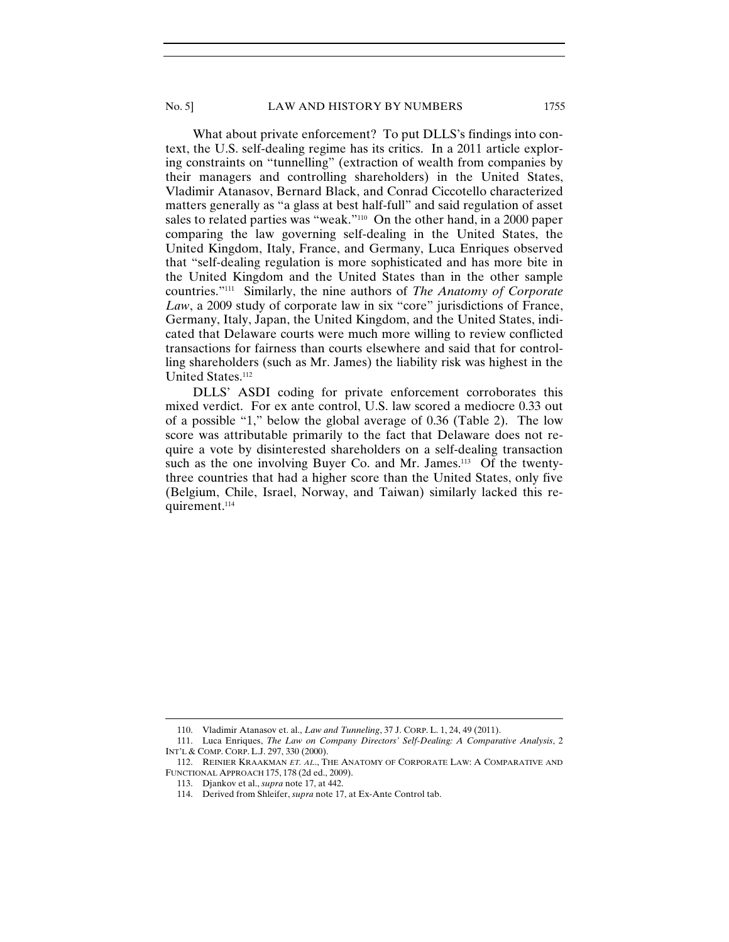What about private enforcement? To put DLLS's findings into context, the U.S. self-dealing regime has its critics. In a 2011 article exploring constraints on "tunnelling" (extraction of wealth from companies by their managers and controlling shareholders) in the United States, Vladimir Atanasov, Bernard Black, and Conrad Ciccotello characterized matters generally as "a glass at best half-full" and said regulation of asset sales to related parties was "weak."<sup>110</sup> On the other hand, in a 2000 paper comparing the law governing self-dealing in the United States, the United Kingdom, Italy, France, and Germany, Luca Enriques observed that "self-dealing regulation is more sophisticated and has more bite in the United Kingdom and the United States than in the other sample countries."111 Similarly, the nine authors of *The Anatomy of Corporate*  Law, a 2009 study of corporate law in six "core" jurisdictions of France, Germany, Italy, Japan, the United Kingdom, and the United States, indicated that Delaware courts were much more willing to review conflicted transactions for fairness than courts elsewhere and said that for controlling shareholders (such as Mr. James) the liability risk was highest in the United States.112

DLLS' ASDI coding for private enforcement corroborates this mixed verdict. For ex ante control, U.S. law scored a mediocre 0.33 out of a possible "1," below the global average of 0.36 (Table 2). The low score was attributable primarily to the fact that Delaware does not require a vote by disinterested shareholders on a self-dealing transaction such as the one involving Buyer Co. and Mr. James.<sup>113</sup> Of the twentythree countries that had a higher score than the United States, only five (Belgium, Chile, Israel, Norway, and Taiwan) similarly lacked this requirement.<sup>114</sup>

<sup>110.</sup> Vladimir Atanasov et. al., *Law and Tunneling*, 37 J. CORP. L. 1, 24, 49 (2011).

 <sup>111.</sup> Luca Enriques, *The Law on Company Directors' Self-Dealing: A Comparative Analysis*, 2 INT'L & COMP. CORP. L.J. 297, 330 (2000).

 <sup>112.</sup> REINIER KRAAKMAN *ET. AL*., THE ANATOMY OF CORPORATE LAW: A COMPARATIVE AND FUNCTIONAL APPROACH 175, 178 (2d ed., 2009).

 <sup>113.</sup> Djankov et al., *supra* note 17, at 442.

 <sup>114.</sup> Derived from Shleifer, *supra* note 17, at Ex-Ante Control tab.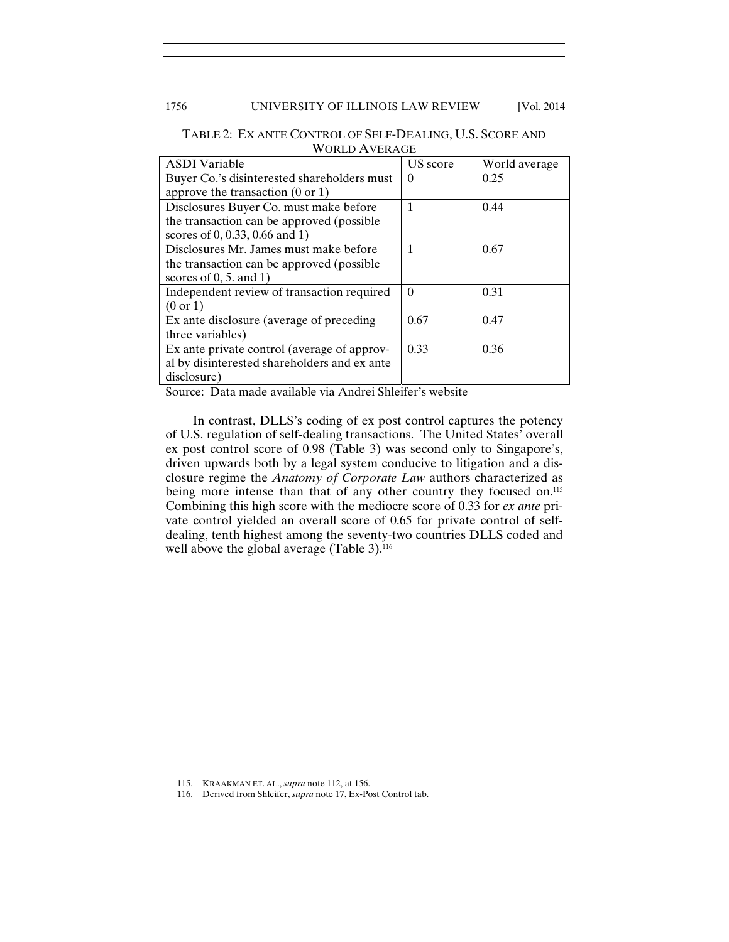# 1756 UNIVERSITY OF ILLINOIS LAW REVIEW [Vol. 2014]

| <b>ASDI</b> Variable                         | US score | World average |
|----------------------------------------------|----------|---------------|
| Buyer Co.'s disinterested shareholders must  | $\Omega$ | 0.25          |
| approve the transaction $(0 \text{ or } 1)$  |          |               |
| Disclosures Buyer Co. must make before       | 1        | 0.44          |
| the transaction can be approved (possible)   |          |               |
| scores of 0, 0.33, 0.66 and 1)               |          |               |
| Disclosures Mr. James must make before       | 1        | 0.67          |
| the transaction can be approved (possible)   |          |               |
| scores of $0, 5$ and $1)$                    |          |               |
| Independent review of transaction required   | $\Omega$ | 0.31          |
| $(0 \text{ or } 1)$                          |          |               |
| Ex ante disclosure (average of preceding     | 0.67     | 0.47          |
| three variables)                             |          |               |
| Ex ante private control (average of approv-  | 0.33     | 0.36          |
| al by disinterested shareholders and ex ante |          |               |
| disclosure)                                  |          |               |

TABLE 2: EX ANTE CONTROL OF SELF-DEALING, U.S. SCORE AND WORLD AVERAGE

Source: Data made available via Andrei Shleifer's website

In contrast, DLLS's coding of ex post control captures the potency of U.S. regulation of self-dealing transactions. The United States' overall ex post control score of 0.98 (Table 3) was second only to Singapore's, driven upwards both by a legal system conducive to litigation and a disclosure regime the *Anatomy of Corporate Law* authors characterized as being more intense than that of any other country they focused on.<sup>115</sup> Combining this high score with the mediocre score of 0.33 for *ex ante* private control yielded an overall score of 0.65 for private control of selfdealing, tenth highest among the seventy-two countries DLLS coded and well above the global average (Table 3).<sup>116</sup>

<sup>115.</sup> KRAAKMAN ET. AL., *supra* note 112, at 156.

 <sup>116.</sup> Derived from Shleifer, *supra* note 17, Ex-Post Control tab.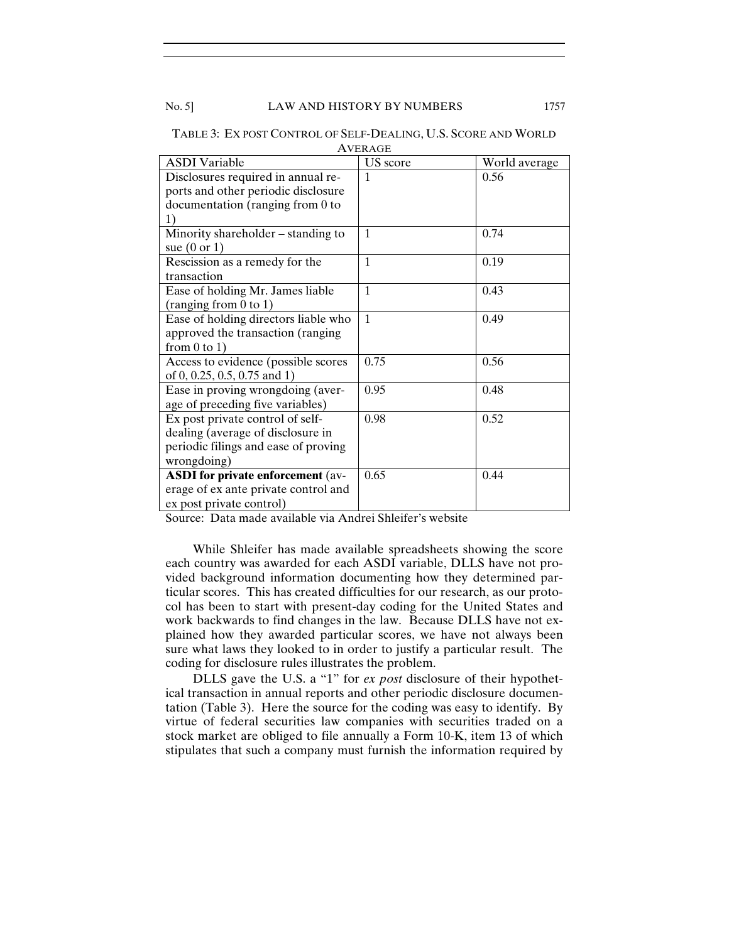No. 5] LAW AND HISTORY BY NUMBERS 1757

| <b>ASDI</b> Variable                     | US score     | World average |
|------------------------------------------|--------------|---------------|
| Disclosures required in annual re-       | $\mathbf{1}$ | 0.56          |
| ports and other periodic disclosure      |              |               |
| documentation (ranging from 0 to         |              |               |
| 1)                                       |              |               |
| Minority shareholder – standing to       | $\mathbf{1}$ | 0.74          |
| sue $(0 \text{ or } 1)$                  |              |               |
| Rescission as a remedy for the           | $\mathbf{1}$ | 0.19          |
| transaction                              |              |               |
| Ease of holding Mr. James liable         | $\mathbf{1}$ | 0.43          |
| (ranging from 0 to 1)                    |              |               |
| Ease of holding directors liable who     | $\mathbf{1}$ | 0.49          |
| approved the transaction (ranging        |              |               |
| from $0$ to $1$ )                        |              |               |
| Access to evidence (possible scores      | 0.75         | 0.56          |
| of 0, 0.25, 0.5, 0.75 and 1)             |              |               |
| Ease in proving wrongdoing (aver-        | 0.95         | 0.48          |
| age of preceding five variables)         |              |               |
| Ex post private control of self-         | 0.98         | 0.52          |
| dealing (average of disclosure in        |              |               |
| periodic filings and ease of proving     |              |               |
| wrongdoing)                              |              |               |
| <b>ASDI</b> for private enforcement (av- | 0.65         | 0.44          |
| erage of ex ante private control and     |              |               |
| ex post private control)                 |              |               |

TABLE 3: EX POST CONTROL OF SELF-DEALING, U.S. SCORE AND WORLD AVERAGE

Source: Data made available via Andrei Shleifer's website

While Shleifer has made available spreadsheets showing the score each country was awarded for each ASDI variable, DLLS have not provided background information documenting how they determined particular scores. This has created difficulties for our research, as our protocol has been to start with present-day coding for the United States and work backwards to find changes in the law. Because DLLS have not explained how they awarded particular scores, we have not always been sure what laws they looked to in order to justify a particular result. The coding for disclosure rules illustrates the problem.

DLLS gave the U.S. a "1" for *ex post* disclosure of their hypothetical transaction in annual reports and other periodic disclosure documentation (Table 3). Here the source for the coding was easy to identify. By virtue of federal securities law companies with securities traded on a stock market are obliged to file annually a Form 10-K, item 13 of which stipulates that such a company must furnish the information required by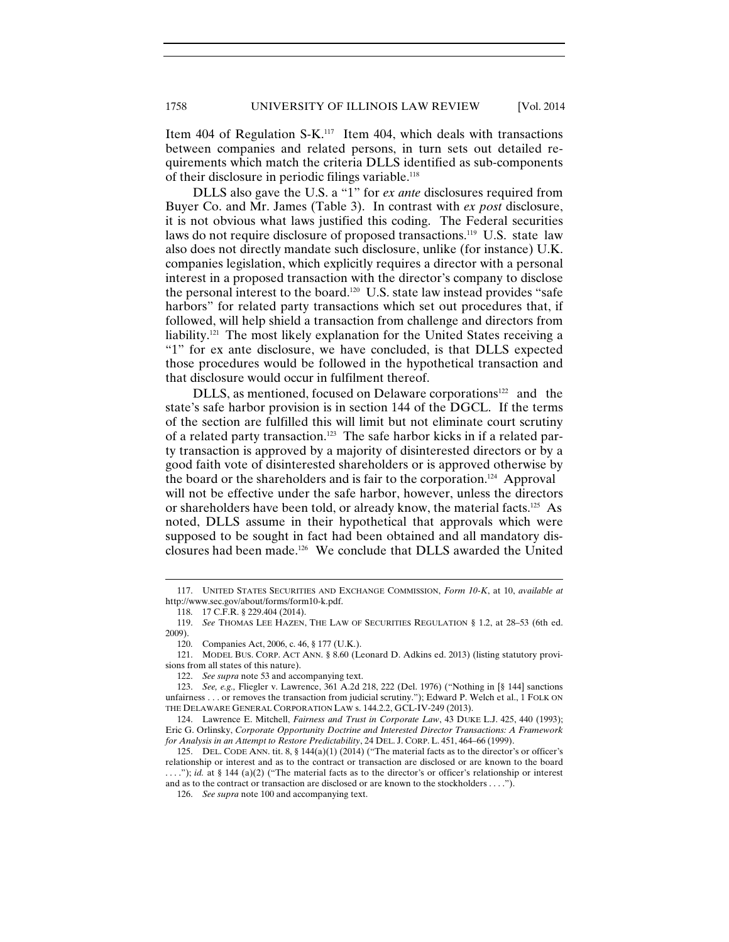Item 404 of Regulation S-K.117 Item 404, which deals with transactions between companies and related persons, in turn sets out detailed requirements which match the criteria DLLS identified as sub-components of their disclosure in periodic filings variable.<sup>118</sup>

DLLS also gave the U.S. a "1" for *ex ante* disclosures required from Buyer Co. and Mr. James (Table 3). In contrast with *ex post* disclosure, it is not obvious what laws justified this coding. The Federal securities laws do not require disclosure of proposed transactions.<sup>119</sup> U.S. state law also does not directly mandate such disclosure, unlike (for instance) U.K. companies legislation, which explicitly requires a director with a personal interest in a proposed transaction with the director's company to disclose the personal interest to the board.<sup>120</sup> U.S. state law instead provides "safe" harbors" for related party transactions which set out procedures that, if followed, will help shield a transaction from challenge and directors from liability.121 The most likely explanation for the United States receiving a "1" for ex ante disclosure, we have concluded, is that DLLS expected those procedures would be followed in the hypothetical transaction and that disclosure would occur in fulfilment thereof.

DLLS, as mentioned, focused on Delaware corporations<sup>122</sup> and the state's safe harbor provision is in section 144 of the DGCL. If the terms of the section are fulfilled this will limit but not eliminate court scrutiny of a related party transaction.123 The safe harbor kicks in if a related party transaction is approved by a majority of disinterested directors or by a good faith vote of disinterested shareholders or is approved otherwise by the board or the shareholders and is fair to the corporation.124 Approval will not be effective under the safe harbor, however, unless the directors or shareholders have been told, or already know, the material facts.<sup>125</sup> As noted, DLLS assume in their hypothetical that approvals which were supposed to be sought in fact had been obtained and all mandatory disclosures had been made.126 We conclude that DLLS awarded the United

<sup>117.</sup> UNITED STATES SECURITIES AND EXCHANGE COMMISSION, *Form 10-K*, at 10, *available at* http://www.sec.gov/about/forms/form10-k.pdf.

 <sup>118. 17</sup> C.F.R. § 229.404 (2014).

 <sup>119.</sup> *See* THOMAS LEE HAZEN, THE LAW OF SECURITIES REGULATION § 1.2, at 28–53 (6th ed. 2009).

 <sup>120.</sup> Companies Act, 2006, c. 46, § 177 (U.K.).

 <sup>121.</sup> MODEL BUS. CORP. ACT ANN. § 8.60 (Leonard D. Adkins ed. 2013) (listing statutory provisions from all states of this nature).

 <sup>122.</sup> *See supra* note 53 and accompanying text.

 <sup>123.</sup> *See, e.g.,* Fliegler v. Lawrence, 361 A.2d 218, 222 (Del. 1976) ("Nothing in [§ 144] sanctions unfairness . . . or removes the transaction from judicial scrutiny."); Edward P. Welch et al., 1 FOLK ON THE DELAWARE GENERAL CORPORATION LAW s. 144.2.2, GCL-IV-249 (2013).

 <sup>124.</sup> Lawrence E. Mitchell, *Fairness and Trust in Corporate Law*, 43 DUKE L.J. 425, 440 (1993); Eric G. Orlinsky, *Corporate Opportunity Doctrine and Interested Director Transactions: A Framework for Analysis in an Attempt to Restore Predictability*, 24 DEL. J. CORP. L. 451, 464–66 (1999).

 <sup>125.</sup> DEL. CODE ANN. tit. 8, § 144(a)(1) (2014) ("The material facts as to the director's or officer's relationship or interest and as to the contract or transaction are disclosed or are known to the board ...."); *id.* at § 144 (a)(2) ("The material facts as to the director's or officer's relationship or interest

and as to the contract or transaction are disclosed or are known to the stockholders . . . .").

 <sup>126.</sup> *See supra* note 100 and accompanying text.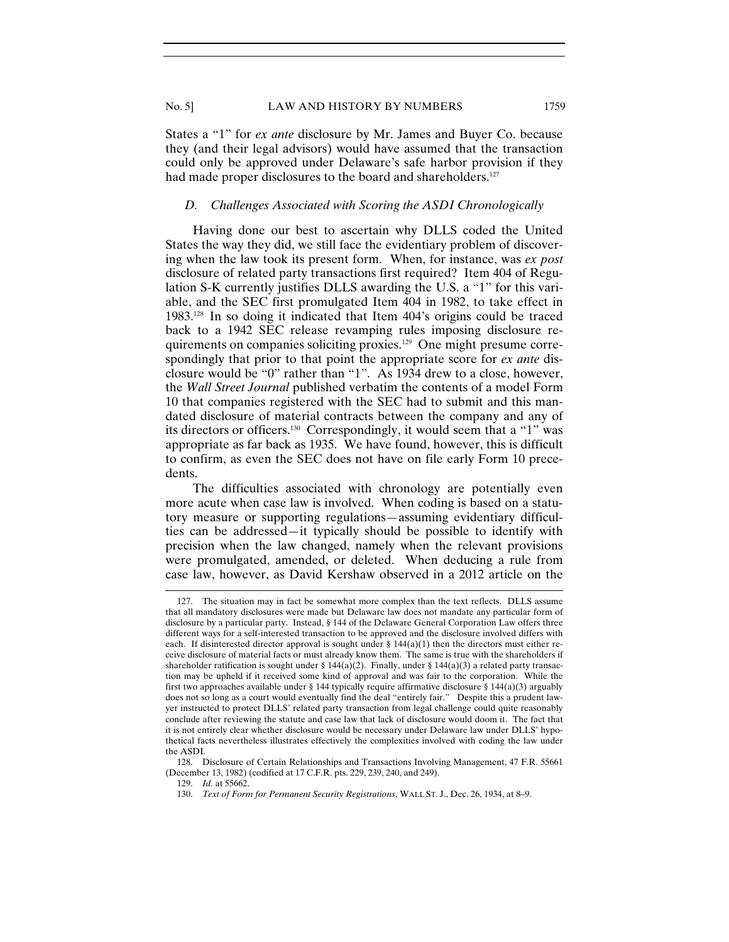States a "1" for *ex ante* disclosure by Mr. James and Buyer Co. because they (and their legal advisors) would have assumed that the transaction could only be approved under Delaware's safe harbor provision if they had made proper disclosures to the board and shareholders.<sup>127</sup>

### *D. Challenges Associated with Scoring the ASDI Chronologically*

Having done our best to ascertain why DLLS coded the United States the way they did, we still face the evidentiary problem of discovering when the law took its present form. When, for instance, was *ex post* disclosure of related party transactions first required? Item 404 of Regulation S-K currently justifies DLLS awarding the U.S. a "1" for this variable, and the SEC first promulgated Item 404 in 1982, to take effect in 1983.128 In so doing it indicated that Item 404's origins could be traced back to a 1942 SEC release revamping rules imposing disclosure requirements on companies soliciting proxies.129 One might presume correspondingly that prior to that point the appropriate score for *ex ante* disclosure would be "0" rather than "1". As 1934 drew to a close, however, the *Wall Street Journal* published verbatim the contents of a model Form 10 that companies registered with the SEC had to submit and this mandated disclosure of material contracts between the company and any of its directors or officers.130 Correspondingly, it would seem that a "1" was appropriate as far back as 1935. We have found, however, this is difficult to confirm, as even the SEC does not have on file early Form 10 precedents.

The difficulties associated with chronology are potentially even more acute when case law is involved. When coding is based on a statutory measure or supporting regulations—assuming evidentiary difficulties can be addressed—it typically should be possible to identify with precision when the law changed, namely when the relevant provisions were promulgated, amended, or deleted. When deducing a rule from case law, however, as David Kershaw observed in a 2012 article on the

<sup>127.</sup> The situation may in fact be somewhat more complex than the text reflects. DLLS assume that all mandatory disclosures were made but Delaware law does not mandate any particular form of disclosure by a particular party. Instead, § 144 of the Delaware General Corporation Law offers three different ways for a self-interested transaction to be approved and the disclosure involved differs with each. If disinterested director approval is sought under  $\S$  144(a)(1) then the directors must either receive disclosure of material facts or must already know them. The same is true with the shareholders if shareholder ratification is sought under § 144(a)(2). Finally, under § 144(a)(3) a related party transaction may be upheld if it received some kind of approval and was fair to the corporation. While the first two approaches available under § 144 typically require affirmative disclosure § 144(a)(3) arguably does not so long as a court would eventually find the deal "entirely fair." Despite this a prudent lawyer instructed to protect DLLS' related party transaction from legal challenge could quite reasonably conclude after reviewing the statute and case law that lack of disclosure would doom it. The fact that it is not entirely clear whether disclosure would be necessary under Delaware law under DLLS' hypothetical facts nevertheless illustrates effectively the complexities involved with coding the law under the ASDI.

 <sup>128.</sup> Disclosure of Certain Relationships and Transactions Involving Management, 47 F.R. 55661 (December 13, 1982) (codified at 17 C.F.R. pts. 229, 239, 240, and 249).

 <sup>129.</sup> *Id.* at 55662.

 <sup>130.</sup> *Text of Form for Permanent Security Registrations*, WALL ST. J., Dec. 26, 1934, at 8–9.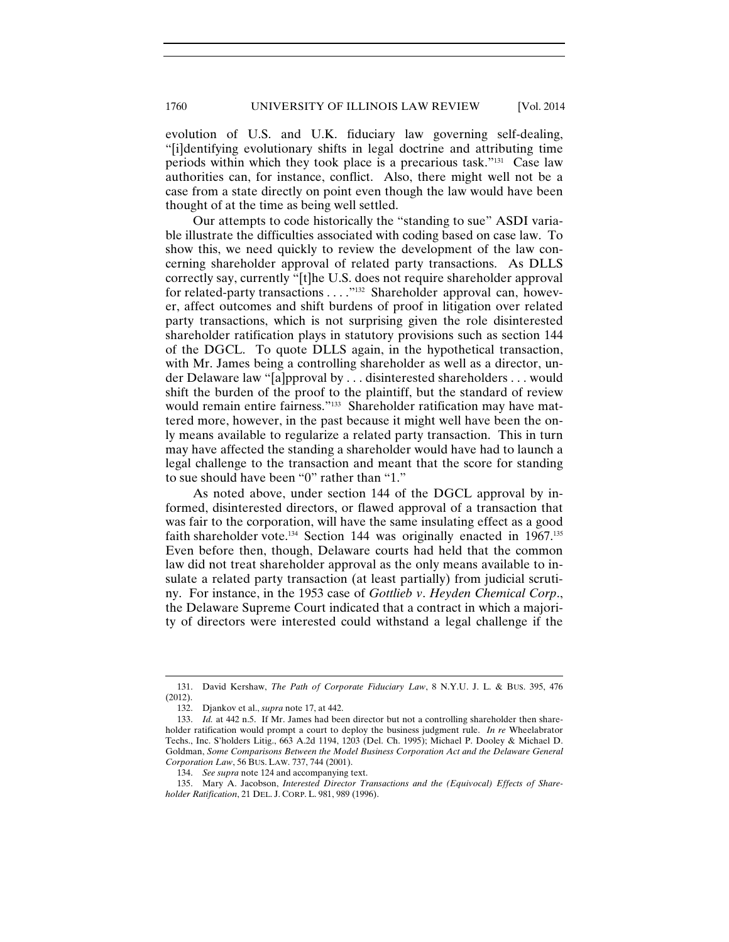1760 UNIVERSITY OF ILLINOIS LAW REVIEW [Vol. 2014

evolution of U.S. and U.K. fiduciary law governing self-dealing, "[i]dentifying evolutionary shifts in legal doctrine and attributing time periods within which they took place is a precarious task."131 Case law authorities can, for instance, conflict. Also, there might well not be a case from a state directly on point even though the law would have been thought of at the time as being well settled.

Our attempts to code historically the "standing to sue" ASDI variable illustrate the difficulties associated with coding based on case law. To show this, we need quickly to review the development of the law concerning shareholder approval of related party transactions. As DLLS correctly say, currently "[t]he U.S. does not require shareholder approval for related-party transactions . . . . "<sup>132</sup> Shareholder approval can, however, affect outcomes and shift burdens of proof in litigation over related party transactions, which is not surprising given the role disinterested shareholder ratification plays in statutory provisions such as section 144 of the DGCL. To quote DLLS again, in the hypothetical transaction, with Mr. James being a controlling shareholder as well as a director, under Delaware law "[a]pproval by . . . disinterested shareholders . . . would shift the burden of the proof to the plaintiff, but the standard of review would remain entire fairness."<sup>133</sup> Shareholder ratification may have mattered more, however, in the past because it might well have been the only means available to regularize a related party transaction. This in turn may have affected the standing a shareholder would have had to launch a legal challenge to the transaction and meant that the score for standing to sue should have been "0" rather than "1."

As noted above, under section 144 of the DGCL approval by informed, disinterested directors, or flawed approval of a transaction that was fair to the corporation, will have the same insulating effect as a good faith shareholder vote.<sup>134</sup> Section 144 was originally enacted in  $1967$ <sup>135</sup> Even before then, though, Delaware courts had held that the common law did not treat shareholder approval as the only means available to insulate a related party transaction (at least partially) from judicial scrutiny. For instance, in the 1953 case of *Gottlieb v*. *Heyden Chemical Corp*., the Delaware Supreme Court indicated that a contract in which a majority of directors were interested could withstand a legal challenge if the

<sup>131.</sup> David Kershaw, *The Path of Corporate Fiduciary Law*, 8 N.Y.U. J. L. & BUS. 395, 476 (2012).

 <sup>132.</sup> Djankov et al., *supra* note 17, at 442.

 <sup>133.</sup> *Id.* at 442 n.5. If Mr. James had been director but not a controlling shareholder then shareholder ratification would prompt a court to deploy the business judgment rule. *In re* Wheelabrator Techs., Inc. S'holders Litig., 663 A.2d 1194, 1203 (Del. Ch. 1995); Michael P. Dooley & Michael D. Goldman, *Some Comparisons Between the Model Business Corporation Act and the Delaware General Corporation Law*, 56 BUS. LAW. 737, 744 (2001).

 <sup>134.</sup> *See supra* note 124 and accompanying text.

 <sup>135.</sup> Mary A. Jacobson, *Interested Director Transactions and the (Equivocal) Effects of Shareholder Ratification*, 21 DEL. J. CORP. L. 981, 989 (1996).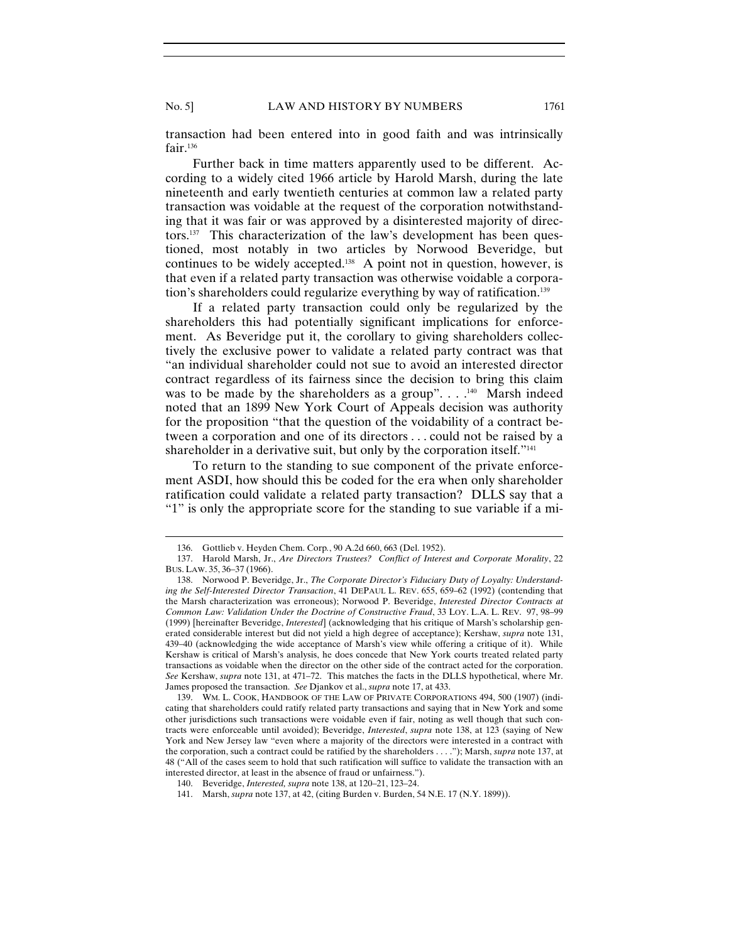transaction had been entered into in good faith and was intrinsically fair.136

Further back in time matters apparently used to be different. According to a widely cited 1966 article by Harold Marsh, during the late nineteenth and early twentieth centuries at common law a related party transaction was voidable at the request of the corporation notwithstanding that it was fair or was approved by a disinterested majority of directors.137 This characterization of the law's development has been questioned, most notably in two articles by Norwood Beveridge, but continues to be widely accepted.138 A point not in question, however, is that even if a related party transaction was otherwise voidable a corporation's shareholders could regularize everything by way of ratification.<sup>139</sup>

If a related party transaction could only be regularized by the shareholders this had potentially significant implications for enforcement. As Beveridge put it, the corollary to giving shareholders collectively the exclusive power to validate a related party contract was that "an individual shareholder could not sue to avoid an interested director contract regardless of its fairness since the decision to bring this claim was to be made by the shareholders as a group".... $^{140}$  Marsh indeed noted that an 1899 New York Court of Appeals decision was authority for the proposition "that the question of the voidability of a contract between a corporation and one of its directors . . . could not be raised by a shareholder in a derivative suit, but only by the corporation itself."<sup>141</sup>

To return to the standing to sue component of the private enforcement ASDI, how should this be coded for the era when only shareholder ratification could validate a related party transaction? DLLS say that a "1" is only the appropriate score for the standing to sue variable if a mi-

<sup>136.</sup> Gottlieb v. Heyden Chem. Corp*.*, 90 A.2d 660, 663 (Del. 1952).

 <sup>137.</sup> Harold Marsh, Jr., *Are Directors Trustees? Conflict of Interest and Corporate Morality*, 22 BUS. LAW. 35, 36–37 (1966).

 <sup>138.</sup> Norwood P. Beveridge, Jr., *The Corporate Director's Fiduciary Duty of Loyalty: Understanding the Self-Interested Director Transaction*, 41 DEPAUL L. REV. 655, 659–62 (1992) (contending that the Marsh characterization was erroneous); Norwood P. Beveridge, *Interested Director Contracts at Common Law: Validation Under the Doctrine of Constructive Fraud*, 33 LOY. L.A. L. REV. 97, 98–99 (1999) [hereinafter Beveridge, *Interested*] (acknowledging that his critique of Marsh's scholarship generated considerable interest but did not yield a high degree of acceptance); Kershaw, *supra* note 131, 439–40 (acknowledging the wide acceptance of Marsh's view while offering a critique of it). While Kershaw is critical of Marsh's analysis, he does concede that New York courts treated related party transactions as voidable when the director on the other side of the contract acted for the corporation. *See* Kershaw, *supra* note 131, at 471–72. This matches the facts in the DLLS hypothetical, where Mr. James proposed the transaction. *See* Djankov et al., *supra* note 17, at 433.

 <sup>139.</sup> WM. L. COOK, HANDBOOK OF THE LAW OF PRIVATE CORPORATIONS 494, 500 (1907) (indicating that shareholders could ratify related party transactions and saying that in New York and some other jurisdictions such transactions were voidable even if fair, noting as well though that such contracts were enforceable until avoided); Beveridge, *Interested*, *supra* note 138, at 123 (saying of New York and New Jersey law "even where a majority of the directors were interested in a contract with the corporation, such a contract could be ratified by the shareholders . . . ."); Marsh, *supra* note 137, at 48 ("All of the cases seem to hold that such ratification will suffice to validate the transaction with an interested director, at least in the absence of fraud or unfairness.").

 <sup>140.</sup> Beveridge, *Interested, supra* note 138, at 120–21, 123–24.

 <sup>141.</sup> Marsh, *supra* note 137, at 42, (citing Burden v. Burden, 54 N.E. 17 (N.Y. 1899)).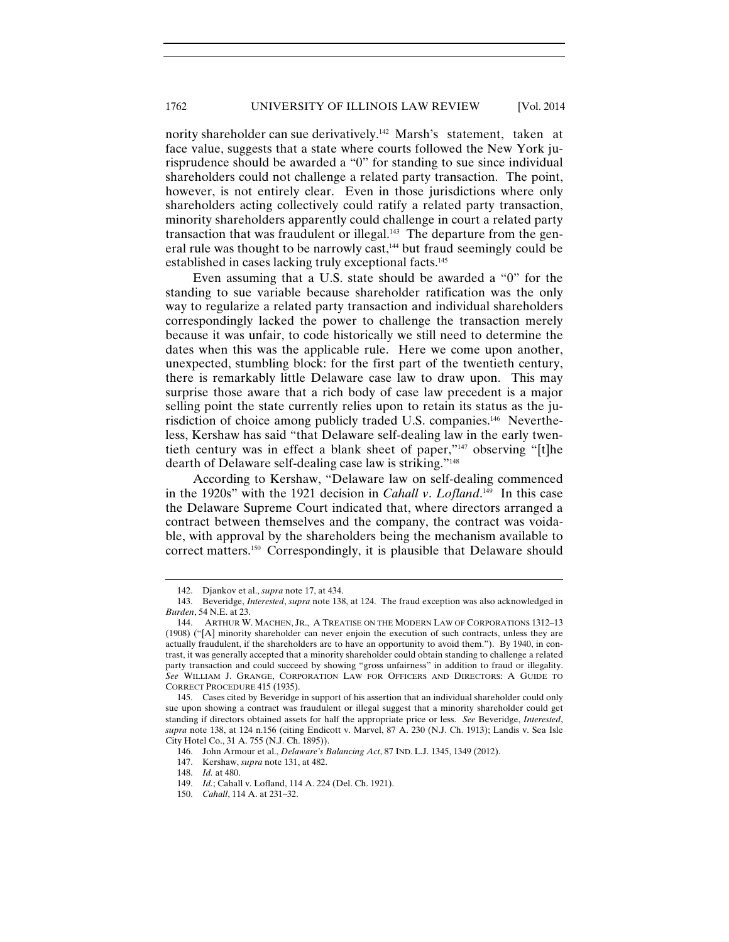nority shareholder can sue derivatively.<sup>142</sup> Marsh's statement, taken at face value, suggests that a state where courts followed the New York jurisprudence should be awarded a "0" for standing to sue since individual shareholders could not challenge a related party transaction. The point, however, is not entirely clear. Even in those jurisdictions where only shareholders acting collectively could ratify a related party transaction, minority shareholders apparently could challenge in court a related party transaction that was fraudulent or illegal.<sup>143</sup> The departure from the general rule was thought to be narrowly cast,<sup>144</sup> but fraud seemingly could be established in cases lacking truly exceptional facts.145

Even assuming that a U.S. state should be awarded a "0" for the standing to sue variable because shareholder ratification was the only way to regularize a related party transaction and individual shareholders correspondingly lacked the power to challenge the transaction merely because it was unfair, to code historically we still need to determine the dates when this was the applicable rule. Here we come upon another, unexpected, stumbling block: for the first part of the twentieth century, there is remarkably little Delaware case law to draw upon. This may surprise those aware that a rich body of case law precedent is a major selling point the state currently relies upon to retain its status as the jurisdiction of choice among publicly traded U.S. companies.146 Nevertheless, Kershaw has said "that Delaware self-dealing law in the early twentieth century was in effect a blank sheet of paper,"147 observing "[t]he dearth of Delaware self-dealing case law is striking."148

According to Kershaw, "Delaware law on self-dealing commenced in the 1920s" with the 1921 decision in *Cahall v*. *Lofland*. 149 In this case the Delaware Supreme Court indicated that, where directors arranged a contract between themselves and the company, the contract was voidable, with approval by the shareholders being the mechanism available to correct matters.150 Correspondingly, it is plausible that Delaware should

<sup>142.</sup> Djankov et al., *supra* note 17, at 434.

 <sup>143.</sup> Beveridge, *Interested*, *supra* note 138, at 124. The fraud exception was also acknowledged in *Burden*, 54 N.E. at 23.

 <sup>144.</sup> ARTHUR W. MACHEN, JR., A TREATISE ON THE MODERN LAW OF CORPORATIONS 1312–13 (1908) ("[A] minority shareholder can never enjoin the execution of such contracts, unless they are actually fraudulent, if the shareholders are to have an opportunity to avoid them."). By 1940, in contrast, it was generally accepted that a minority shareholder could obtain standing to challenge a related party transaction and could succeed by showing "gross unfairness" in addition to fraud or illegality. *See* WILLIAM J. GRANGE, CORPORATION LAW FOR OFFICERS AND DIRECTORS: A GUIDE TO CORRECT PROCEDURE 415 (1935).

 <sup>145.</sup> Cases cited by Beveridge in support of his assertion that an individual shareholder could only sue upon showing a contract was fraudulent or illegal suggest that a minority shareholder could get standing if directors obtained assets for half the appropriate price or less. *See* Beveridge, *Interested*, *supra* note 138, at 124 n.156 (citing Endicott v. Marvel, 87 A. 230 (N.J. Ch. 1913); Landis v. Sea Isle City Hotel Co., 31 A. 755 (N.J. Ch. 1895)).

 <sup>146.</sup> John Armour et al., *Delaware's Balancing Act*, 87 IND. L.J. 1345, 1349 (2012).

 <sup>147.</sup> Kershaw, *supra* note 131, at 482.

 <sup>148.</sup> *Id.* at 480.

 <sup>149.</sup> *Id.*; Cahall v. Lofland, 114 A. 224 (Del. Ch. 1921).

 <sup>150.</sup> *Cahall*, 114 A. at 231–32.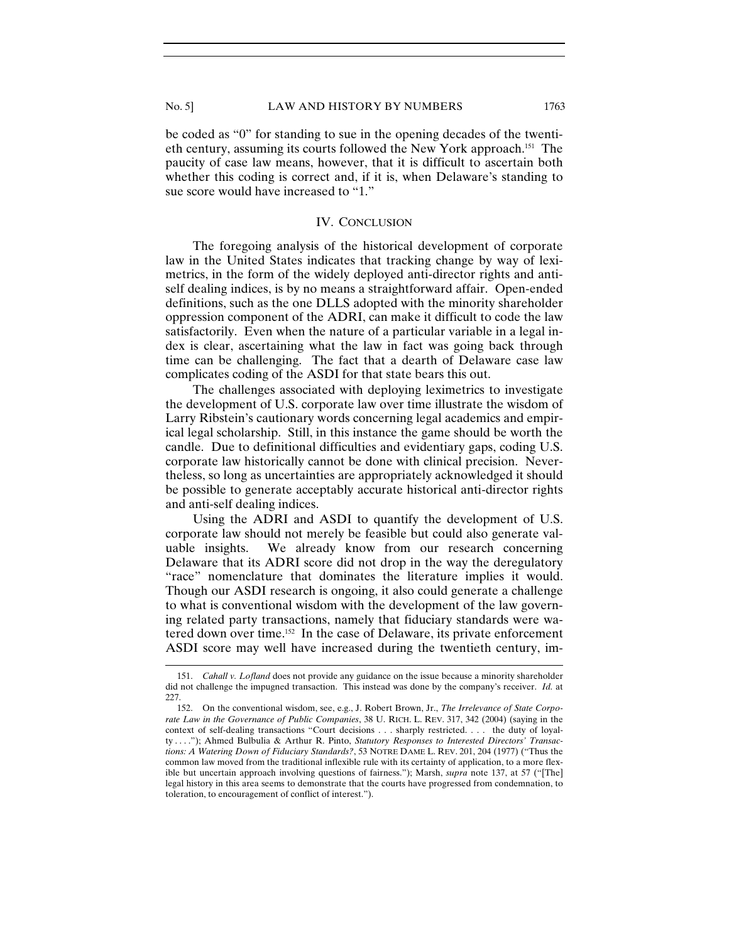be coded as "0" for standing to sue in the opening decades of the twentieth century, assuming its courts followed the New York approach.151 The paucity of case law means, however, that it is difficult to ascertain both whether this coding is correct and, if it is, when Delaware's standing to sue score would have increased to "1."

# IV. CONCLUSION

The foregoing analysis of the historical development of corporate law in the United States indicates that tracking change by way of leximetrics, in the form of the widely deployed anti-director rights and antiself dealing indices, is by no means a straightforward affair. Open-ended definitions, such as the one DLLS adopted with the minority shareholder oppression component of the ADRI, can make it difficult to code the law satisfactorily. Even when the nature of a particular variable in a legal index is clear, ascertaining what the law in fact was going back through time can be challenging. The fact that a dearth of Delaware case law complicates coding of the ASDI for that state bears this out.

The challenges associated with deploying leximetrics to investigate the development of U.S. corporate law over time illustrate the wisdom of Larry Ribstein's cautionary words concerning legal academics and empirical legal scholarship. Still, in this instance the game should be worth the candle. Due to definitional difficulties and evidentiary gaps, coding U.S. corporate law historically cannot be done with clinical precision. Nevertheless, so long as uncertainties are appropriately acknowledged it should be possible to generate acceptably accurate historical anti-director rights and anti-self dealing indices.

Using the ADRI and ASDI to quantify the development of U.S. corporate law should not merely be feasible but could also generate valuable insights. We already know from our research concerning Delaware that its ADRI score did not drop in the way the deregulatory "race" nomenclature that dominates the literature implies it would. Though our ASDI research is ongoing, it also could generate a challenge to what is conventional wisdom with the development of the law governing related party transactions, namely that fiduciary standards were watered down over time.152 In the case of Delaware, its private enforcement ASDI score may well have increased during the twentieth century, im-

<sup>151.</sup> *Cahall v. Lofland* does not provide any guidance on the issue because a minority shareholder did not challenge the impugned transaction. This instead was done by the company's receiver. *Id.* at 227.

 <sup>152.</sup> On the conventional wisdom, see, e.g., J. Robert Brown, Jr., *The Irrelevance of State Corporate Law in the Governance of Public Companies*, 38 U. RICH. L. REV. 317, 342 (2004) (saying in the context of self-dealing transactions "Court decisions . . . sharply restricted. . . . the duty of loyalty . . . ."); Ahmed Bulbulia & Arthur R. Pinto, *Statutory Responses to Interested Directors' Transactions: A Watering Down of Fiduciary Standards?*, 53 NOTRE DAME L. REV. 201, 204 (1977) ("Thus the common law moved from the traditional inflexible rule with its certainty of application, to a more flexible but uncertain approach involving questions of fairness."); Marsh, *supra* note 137, at 57 ("[The] legal history in this area seems to demonstrate that the courts have progressed from condemnation, to toleration, to encouragement of conflict of interest.").